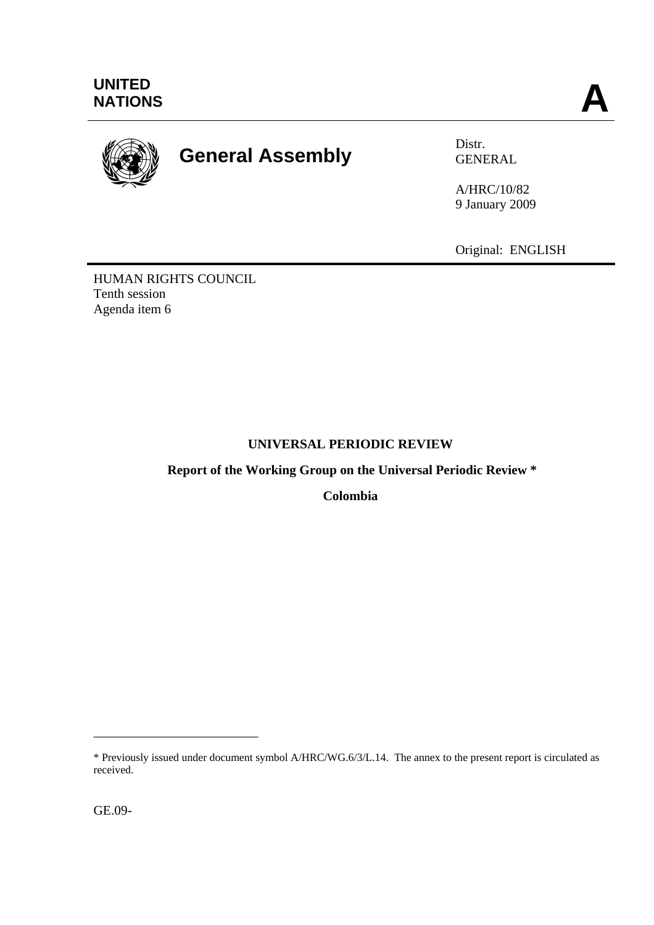

# **General Assembly Distra Distra Distra CENE**

GENERAL

A/HRC/10/82 9 January 2009

Original: ENGLISH

HUMAN RIGHTS COUNCIL Tenth session Agenda item 6

# **UNIVERSAL PERIODIC REVIEW**

 **Report of the Working Group on the Universal Periodic Review \*** 

**Colombia** 

\_\_\_\_\_\_\_\_\_\_\_\_\_\_\_\_\_\_\_\_\_\_\_\_\_

<sup>\*</sup> Previously issued under document symbol A/HRC/WG.6/3/L.14. The annex to the present report is circulated as received.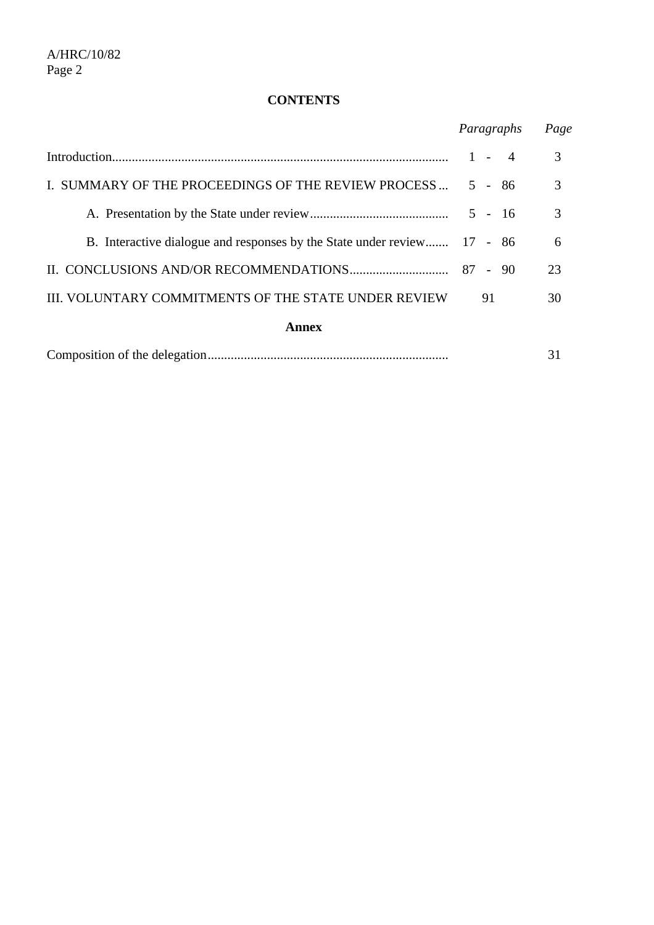# **CONTENTS**

|                                                                         | Paragraphs              | Page |
|-------------------------------------------------------------------------|-------------------------|------|
|                                                                         | $\overline{4}$<br>$1 -$ | 3    |
| I. SUMMARY OF THE PROCEEDINGS OF THE REVIEW PROCESS                     | $5 - 86$                | 3    |
|                                                                         | $5 - 16$                | 3    |
| B. Interactive dialogue and responses by the State under review 17 - 86 |                         | 6    |
|                                                                         |                         | 23   |
| <b>III. VOLUNTARY COMMITMENTS OF THE STATE UNDER REVIEW</b>             | 91                      | 30   |
| Annex                                                                   |                         |      |
|                                                                         |                         | 31   |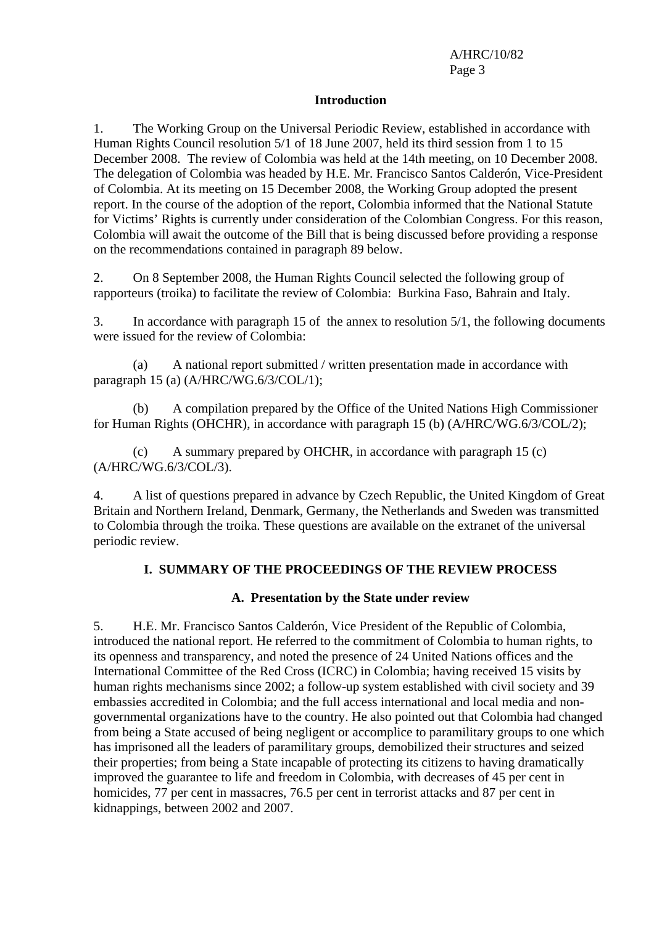#### **Introduction**

1. The Working Group on the Universal Periodic Review, established in accordance with Human Rights Council resolution 5/1 of 18 June 2007, held its third session from 1 to 15 December 2008. The review of Colombia was held at the 14th meeting, on 10 December 2008. The delegation of Colombia was headed by H.E. Mr. Francisco Santos Calderón, Vice-President of Colombia. At its meeting on 15 December 2008, the Working Group adopted the present report. In the course of the adoption of the report, Colombia informed that the National Statute for Victims' Rights is currently under consideration of the Colombian Congress. For this reason, Colombia will await the outcome of the Bill that is being discussed before providing a response on the recommendations contained in paragraph 89 below.

2. On 8 September 2008, the Human Rights Council selected the following group of rapporteurs (troika) to facilitate the review of Colombia: Burkina Faso, Bahrain and Italy.

3. In accordance with paragraph 15 of the annex to resolution 5/1, the following documents were issued for the review of Colombia:

 (a) A national report submitted / written presentation made in accordance with paragraph 15 (a) (A/HRC/WG.6/3/COL/1);

 (b) A compilation prepared by the Office of the United Nations High Commissioner for Human Rights (OHCHR), in accordance with paragraph 15 (b) (A/HRC/WG.6/3/COL/2);

 (c) A summary prepared by OHCHR, in accordance with paragraph 15 (c) (A/HRC/WG.6/3/COL/3).

4. A list of questions prepared in advance by Czech Republic, the United Kingdom of Great Britain and Northern Ireland, Denmark, Germany, the Netherlands and Sweden was transmitted to Colombia through the troika. These questions are available on the extranet of the universal periodic review.

#### **I. SUMMARY OF THE PROCEEDINGS OF THE REVIEW PROCESS**

#### **A. Presentation by the State under review**

5. H.E. Mr. Francisco Santos Calderón, Vice President of the Republic of Colombia, introduced the national report. He referred to the commitment of Colombia to human rights, to its openness and transparency, and noted the presence of 24 United Nations offices and the International Committee of the Red Cross (ICRC) in Colombia; having received 15 visits by human rights mechanisms since 2002; a follow-up system established with civil society and 39 embassies accredited in Colombia; and the full access international and local media and nongovernmental organizations have to the country. He also pointed out that Colombia had changed from being a State accused of being negligent or accomplice to paramilitary groups to one which has imprisoned all the leaders of paramilitary groups, demobilized their structures and seized their properties; from being a State incapable of protecting its citizens to having dramatically improved the guarantee to life and freedom in Colombia, with decreases of 45 per cent in homicides, 77 per cent in massacres, 76.5 per cent in terrorist attacks and 87 per cent in kidnappings, between 2002 and 2007.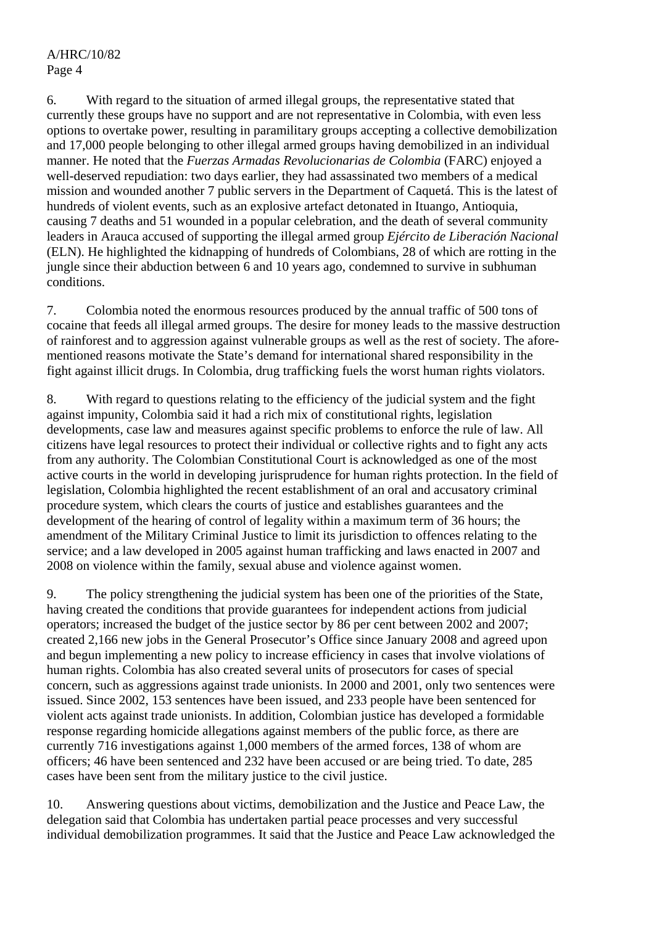6. With regard to the situation of armed illegal groups, the representative stated that currently these groups have no support and are not representative in Colombia, with even less options to overtake power, resulting in paramilitary groups accepting a collective demobilization and 17,000 people belonging to other illegal armed groups having demobilized in an individual manner. He noted that the *Fuerzas Armadas Revolucionarias de Colombia* (FARC) enjoyed a well-deserved repudiation: two days earlier, they had assassinated two members of a medical mission and wounded another 7 public servers in the Department of Caquetá. This is the latest of hundreds of violent events, such as an explosive artefact detonated in Ituango, Antioquia, causing 7 deaths and 51 wounded in a popular celebration, and the death of several community leaders in Arauca accused of supporting the illegal armed group *Ejército de Liberación Nacional* (ELN). He highlighted the kidnapping of hundreds of Colombians, 28 of which are rotting in the jungle since their abduction between 6 and 10 years ago, condemned to survive in subhuman conditions.

7. Colombia noted the enormous resources produced by the annual traffic of 500 tons of cocaine that feeds all illegal armed groups. The desire for money leads to the massive destruction of rainforest and to aggression against vulnerable groups as well as the rest of society. The aforementioned reasons motivate the State's demand for international shared responsibility in the fight against illicit drugs. In Colombia, drug trafficking fuels the worst human rights violators.

8. With regard to questions relating to the efficiency of the judicial system and the fight against impunity, Colombia said it had a rich mix of constitutional rights, legislation developments, case law and measures against specific problems to enforce the rule of law. All citizens have legal resources to protect their individual or collective rights and to fight any acts from any authority. The Colombian Constitutional Court is acknowledged as one of the most active courts in the world in developing jurisprudence for human rights protection. In the field of legislation, Colombia highlighted the recent establishment of an oral and accusatory criminal procedure system, which clears the courts of justice and establishes guarantees and the development of the hearing of control of legality within a maximum term of 36 hours; the amendment of the Military Criminal Justice to limit its jurisdiction to offences relating to the service; and a law developed in 2005 against human trafficking and laws enacted in 2007 and 2008 on violence within the family, sexual abuse and violence against women.

9. The policy strengthening the judicial system has been one of the priorities of the State, having created the conditions that provide guarantees for independent actions from judicial operators; increased the budget of the justice sector by 86 per cent between 2002 and 2007; created 2,166 new jobs in the General Prosecutor's Office since January 2008 and agreed upon and begun implementing a new policy to increase efficiency in cases that involve violations of human rights. Colombia has also created several units of prosecutors for cases of special concern, such as aggressions against trade unionists. In 2000 and 2001, only two sentences were issued. Since 2002, 153 sentences have been issued, and 233 people have been sentenced for violent acts against trade unionists. In addition, Colombian justice has developed a formidable response regarding homicide allegations against members of the public force, as there are currently 716 investigations against 1,000 members of the armed forces, 138 of whom are officers; 46 have been sentenced and 232 have been accused or are being tried. To date, 285 cases have been sent from the military justice to the civil justice.

10. Answering questions about victims, demobilization and the Justice and Peace Law, the delegation said that Colombia has undertaken partial peace processes and very successful individual demobilization programmes. It said that the Justice and Peace Law acknowledged the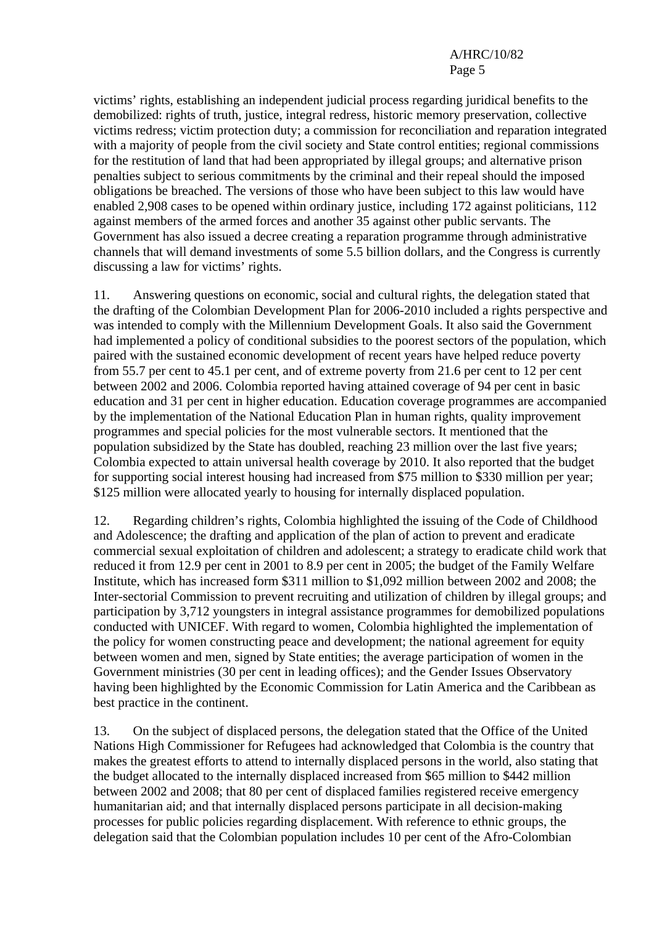victims' rights, establishing an independent judicial process regarding juridical benefits to the demobilized: rights of truth, justice, integral redress, historic memory preservation, collective victims redress; victim protection duty; a commission for reconciliation and reparation integrated with a majority of people from the civil society and State control entities; regional commissions for the restitution of land that had been appropriated by illegal groups; and alternative prison penalties subject to serious commitments by the criminal and their repeal should the imposed obligations be breached. The versions of those who have been subject to this law would have enabled 2,908 cases to be opened within ordinary justice, including 172 against politicians, 112 against members of the armed forces and another 35 against other public servants. The Government has also issued a decree creating a reparation programme through administrative channels that will demand investments of some 5.5 billion dollars, and the Congress is currently discussing a law for victims' rights.

11. Answering questions on economic, social and cultural rights, the delegation stated that the drafting of the Colombian Development Plan for 2006-2010 included a rights perspective and was intended to comply with the Millennium Development Goals. It also said the Government had implemented a policy of conditional subsidies to the poorest sectors of the population, which paired with the sustained economic development of recent years have helped reduce poverty from 55.7 per cent to 45.1 per cent, and of extreme poverty from 21.6 per cent to 12 per cent between 2002 and 2006. Colombia reported having attained coverage of 94 per cent in basic education and 31 per cent in higher education. Education coverage programmes are accompanied by the implementation of the National Education Plan in human rights, quality improvement programmes and special policies for the most vulnerable sectors. It mentioned that the population subsidized by the State has doubled, reaching 23 million over the last five years; Colombia expected to attain universal health coverage by 2010. It also reported that the budget for supporting social interest housing had increased from \$75 million to \$330 million per year; \$125 million were allocated yearly to housing for internally displaced population.

12. Regarding children's rights, Colombia highlighted the issuing of the Code of Childhood and Adolescence; the drafting and application of the plan of action to prevent and eradicate commercial sexual exploitation of children and adolescent; a strategy to eradicate child work that reduced it from 12.9 per cent in 2001 to 8.9 per cent in 2005; the budget of the Family Welfare Institute, which has increased form \$311 million to \$1,092 million between 2002 and 2008; the Inter-sectorial Commission to prevent recruiting and utilization of children by illegal groups; and participation by 3,712 youngsters in integral assistance programmes for demobilized populations conducted with UNICEF. With regard to women, Colombia highlighted the implementation of the policy for women constructing peace and development; the national agreement for equity between women and men, signed by State entities; the average participation of women in the Government ministries (30 per cent in leading offices); and the Gender Issues Observatory having been highlighted by the Economic Commission for Latin America and the Caribbean as best practice in the continent.

13. On the subject of displaced persons, the delegation stated that the Office of the United Nations High Commissioner for Refugees had acknowledged that Colombia is the country that makes the greatest efforts to attend to internally displaced persons in the world, also stating that the budget allocated to the internally displaced increased from \$65 million to \$442 million between 2002 and 2008; that 80 per cent of displaced families registered receive emergency humanitarian aid; and that internally displaced persons participate in all decision-making processes for public policies regarding displacement. With reference to ethnic groups, the delegation said that the Colombian population includes 10 per cent of the Afro-Colombian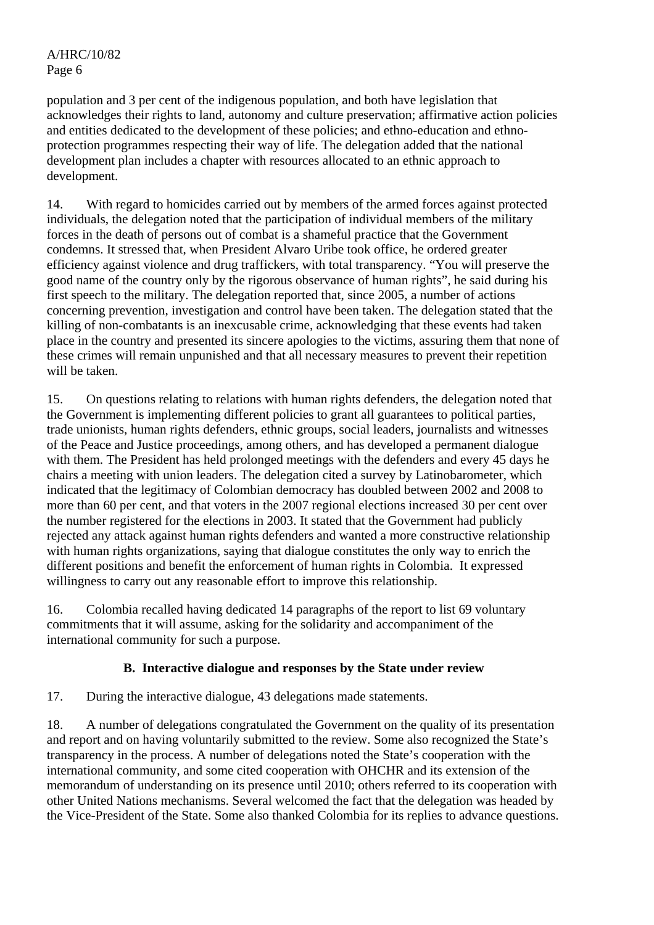population and 3 per cent of the indigenous population, and both have legislation that acknowledges their rights to land, autonomy and culture preservation; affirmative action policies and entities dedicated to the development of these policies; and ethno-education and ethnoprotection programmes respecting their way of life. The delegation added that the national development plan includes a chapter with resources allocated to an ethnic approach to development.

14. With regard to homicides carried out by members of the armed forces against protected individuals, the delegation noted that the participation of individual members of the military forces in the death of persons out of combat is a shameful practice that the Government condemns. It stressed that, when President Alvaro Uribe took office, he ordered greater efficiency against violence and drug traffickers, with total transparency. "You will preserve the good name of the country only by the rigorous observance of human rights", he said during his first speech to the military. The delegation reported that, since 2005, a number of actions concerning prevention, investigation and control have been taken. The delegation stated that the killing of non-combatants is an inexcusable crime, acknowledging that these events had taken place in the country and presented its sincere apologies to the victims, assuring them that none of these crimes will remain unpunished and that all necessary measures to prevent their repetition will be taken.

15. On questions relating to relations with human rights defenders, the delegation noted that the Government is implementing different policies to grant all guarantees to political parties, trade unionists, human rights defenders, ethnic groups, social leaders, journalists and witnesses of the Peace and Justice proceedings, among others, and has developed a permanent dialogue with them. The President has held prolonged meetings with the defenders and every 45 days he chairs a meeting with union leaders. The delegation cited a survey by Latinobarometer, which indicated that the legitimacy of Colombian democracy has doubled between 2002 and 2008 to more than 60 per cent, and that voters in the 2007 regional elections increased 30 per cent over the number registered for the elections in 2003. It stated that the Government had publicly rejected any attack against human rights defenders and wanted a more constructive relationship with human rights organizations, saying that dialogue constitutes the only way to enrich the different positions and benefit the enforcement of human rights in Colombia. It expressed willingness to carry out any reasonable effort to improve this relationship.

16. Colombia recalled having dedicated 14 paragraphs of the report to list 69 voluntary commitments that it will assume, asking for the solidarity and accompaniment of the international community for such a purpose.

# **B. Interactive dialogue and responses by the State under review**

17. During the interactive dialogue, 43 delegations made statements.

18. A number of delegations congratulated the Government on the quality of its presentation and report and on having voluntarily submitted to the review. Some also recognized the State's transparency in the process. A number of delegations noted the State's cooperation with the international community, and some cited cooperation with OHCHR and its extension of the memorandum of understanding on its presence until 2010; others referred to its cooperation with other United Nations mechanisms. Several welcomed the fact that the delegation was headed by the Vice-President of the State. Some also thanked Colombia for its replies to advance questions.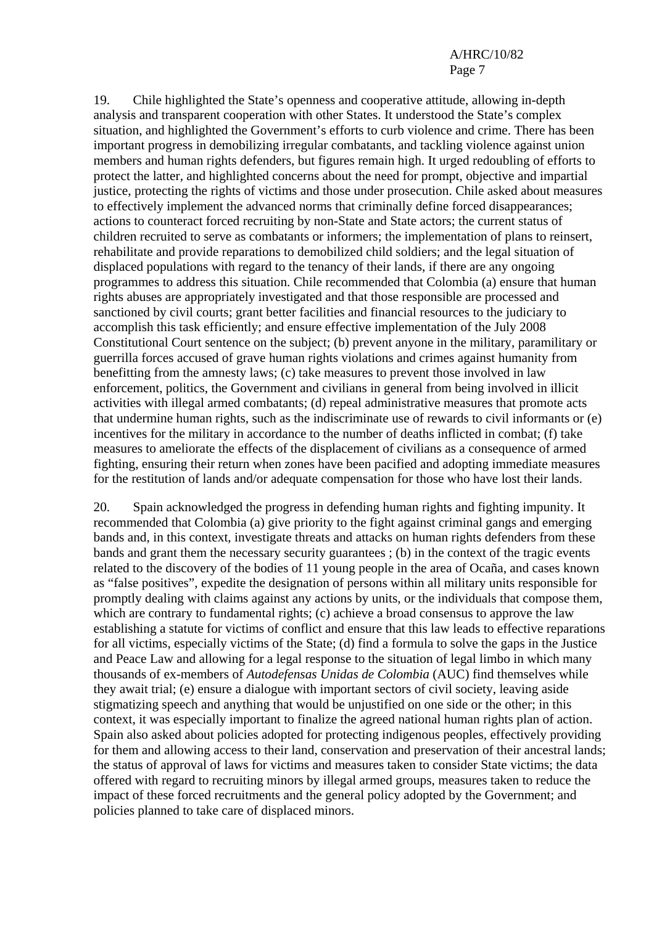19. Chile highlighted the State's openness and cooperative attitude, allowing in-depth analysis and transparent cooperation with other States. It understood the State's complex situation, and highlighted the Government's efforts to curb violence and crime. There has been important progress in demobilizing irregular combatants, and tackling violence against union members and human rights defenders, but figures remain high. It urged redoubling of efforts to protect the latter, and highlighted concerns about the need for prompt, objective and impartial justice, protecting the rights of victims and those under prosecution. Chile asked about measures to effectively implement the advanced norms that criminally define forced disappearances; actions to counteract forced recruiting by non-State and State actors; the current status of children recruited to serve as combatants or informers; the implementation of plans to reinsert, rehabilitate and provide reparations to demobilized child soldiers; and the legal situation of displaced populations with regard to the tenancy of their lands, if there are any ongoing programmes to address this situation. Chile recommended that Colombia (a) ensure that human rights abuses are appropriately investigated and that those responsible are processed and sanctioned by civil courts; grant better facilities and financial resources to the judiciary to accomplish this task efficiently; and ensure effective implementation of the July 2008 Constitutional Court sentence on the subject; (b) prevent anyone in the military, paramilitary or guerrilla forces accused of grave human rights violations and crimes against humanity from benefitting from the amnesty laws; (c) take measures to prevent those involved in law enforcement, politics, the Government and civilians in general from being involved in illicit activities with illegal armed combatants; (d) repeal administrative measures that promote acts that undermine human rights, such as the indiscriminate use of rewards to civil informants or (e) incentives for the military in accordance to the number of deaths inflicted in combat; (f) take measures to ameliorate the effects of the displacement of civilians as a consequence of armed fighting, ensuring their return when zones have been pacified and adopting immediate measures for the restitution of lands and/or adequate compensation for those who have lost their lands.

20. Spain acknowledged the progress in defending human rights and fighting impunity. It recommended that Colombia (a) give priority to the fight against criminal gangs and emerging bands and, in this context, investigate threats and attacks on human rights defenders from these bands and grant them the necessary security guarantees ; (b) in the context of the tragic events related to the discovery of the bodies of 11 young people in the area of Ocaña, and cases known as "false positives", expedite the designation of persons within all military units responsible for promptly dealing with claims against any actions by units, or the individuals that compose them, which are contrary to fundamental rights; (c) achieve a broad consensus to approve the law establishing a statute for victims of conflict and ensure that this law leads to effective reparations for all victims, especially victims of the State; (d) find a formula to solve the gaps in the Justice and Peace Law and allowing for a legal response to the situation of legal limbo in which many thousands of ex-members of *Autodefensas Unidas de Colombia* (AUC) find themselves while they await trial; (e) ensure a dialogue with important sectors of civil society, leaving aside stigmatizing speech and anything that would be unjustified on one side or the other; in this context, it was especially important to finalize the agreed national human rights plan of action. Spain also asked about policies adopted for protecting indigenous peoples, effectively providing for them and allowing access to their land, conservation and preservation of their ancestral lands; the status of approval of laws for victims and measures taken to consider State victims; the data offered with regard to recruiting minors by illegal armed groups, measures taken to reduce the impact of these forced recruitments and the general policy adopted by the Government; and policies planned to take care of displaced minors.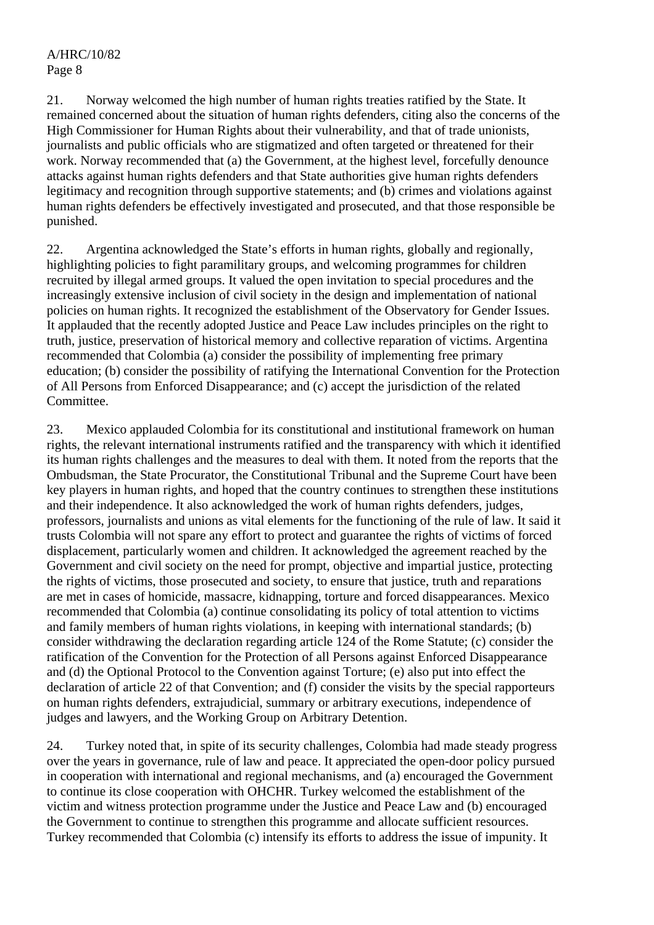21. Norway welcomed the high number of human rights treaties ratified by the State. It remained concerned about the situation of human rights defenders, citing also the concerns of the High Commissioner for Human Rights about their vulnerability, and that of trade unionists, journalists and public officials who are stigmatized and often targeted or threatened for their work. Norway recommended that (a) the Government, at the highest level, forcefully denounce attacks against human rights defenders and that State authorities give human rights defenders legitimacy and recognition through supportive statements; and (b) crimes and violations against human rights defenders be effectively investigated and prosecuted, and that those responsible be punished.

22. Argentina acknowledged the State's efforts in human rights, globally and regionally, highlighting policies to fight paramilitary groups, and welcoming programmes for children recruited by illegal armed groups. It valued the open invitation to special procedures and the increasingly extensive inclusion of civil society in the design and implementation of national policies on human rights. It recognized the establishment of the Observatory for Gender Issues. It applauded that the recently adopted Justice and Peace Law includes principles on the right to truth, justice, preservation of historical memory and collective reparation of victims. Argentina recommended that Colombia (a) consider the possibility of implementing free primary education; (b) consider the possibility of ratifying the International Convention for the Protection of All Persons from Enforced Disappearance; and (c) accept the jurisdiction of the related Committee.

23. Mexico applauded Colombia for its constitutional and institutional framework on human rights, the relevant international instruments ratified and the transparency with which it identified its human rights challenges and the measures to deal with them. It noted from the reports that the Ombudsman, the State Procurator, the Constitutional Tribunal and the Supreme Court have been key players in human rights, and hoped that the country continues to strengthen these institutions and their independence. It also acknowledged the work of human rights defenders, judges, professors, journalists and unions as vital elements for the functioning of the rule of law. It said it trusts Colombia will not spare any effort to protect and guarantee the rights of victims of forced displacement, particularly women and children. It acknowledged the agreement reached by the Government and civil society on the need for prompt, objective and impartial justice, protecting the rights of victims, those prosecuted and society, to ensure that justice, truth and reparations are met in cases of homicide, massacre, kidnapping, torture and forced disappearances. Mexico recommended that Colombia (a) continue consolidating its policy of total attention to victims and family members of human rights violations, in keeping with international standards; (b) consider withdrawing the declaration regarding article 124 of the Rome Statute; (c) consider the ratification of the Convention for the Protection of all Persons against Enforced Disappearance and (d) the Optional Protocol to the Convention against Torture; (e) also put into effect the declaration of article 22 of that Convention; and (f) consider the visits by the special rapporteurs on human rights defenders, extrajudicial, summary or arbitrary executions, independence of judges and lawyers, and the Working Group on Arbitrary Detention.

24. Turkey noted that, in spite of its security challenges, Colombia had made steady progress over the years in governance, rule of law and peace. It appreciated the open-door policy pursued in cooperation with international and regional mechanisms, and (a) encouraged the Government to continue its close cooperation with OHCHR. Turkey welcomed the establishment of the victim and witness protection programme under the Justice and Peace Law and (b) encouraged the Government to continue to strengthen this programme and allocate sufficient resources. Turkey recommended that Colombia (c) intensify its efforts to address the issue of impunity. It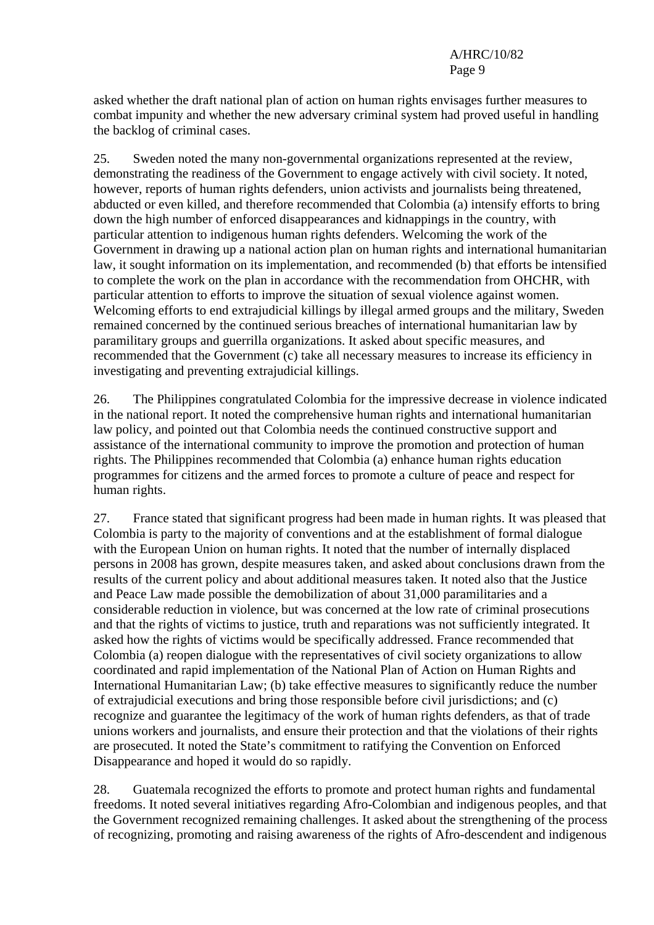asked whether the draft national plan of action on human rights envisages further measures to combat impunity and whether the new adversary criminal system had proved useful in handling the backlog of criminal cases.

25. Sweden noted the many non-governmental organizations represented at the review, demonstrating the readiness of the Government to engage actively with civil society. It noted, however, reports of human rights defenders, union activists and journalists being threatened, abducted or even killed, and therefore recommended that Colombia (a) intensify efforts to bring down the high number of enforced disappearances and kidnappings in the country, with particular attention to indigenous human rights defenders. Welcoming the work of the Government in drawing up a national action plan on human rights and international humanitarian law, it sought information on its implementation, and recommended (b) that efforts be intensified to complete the work on the plan in accordance with the recommendation from OHCHR, with particular attention to efforts to improve the situation of sexual violence against women. Welcoming efforts to end extrajudicial killings by illegal armed groups and the military, Sweden remained concerned by the continued serious breaches of international humanitarian law by paramilitary groups and guerrilla organizations. It asked about specific measures, and recommended that the Government (c) take all necessary measures to increase its efficiency in investigating and preventing extrajudicial killings.

26. The Philippines congratulated Colombia for the impressive decrease in violence indicated in the national report. It noted the comprehensive human rights and international humanitarian law policy, and pointed out that Colombia needs the continued constructive support and assistance of the international community to improve the promotion and protection of human rights. The Philippines recommended that Colombia (a) enhance human rights education programmes for citizens and the armed forces to promote a culture of peace and respect for human rights.

27. France stated that significant progress had been made in human rights. It was pleased that Colombia is party to the majority of conventions and at the establishment of formal dialogue with the European Union on human rights. It noted that the number of internally displaced persons in 2008 has grown, despite measures taken, and asked about conclusions drawn from the results of the current policy and about additional measures taken. It noted also that the Justice and Peace Law made possible the demobilization of about 31,000 paramilitaries and a considerable reduction in violence, but was concerned at the low rate of criminal prosecutions and that the rights of victims to justice, truth and reparations was not sufficiently integrated. It asked how the rights of victims would be specifically addressed. France recommended that Colombia (a) reopen dialogue with the representatives of civil society organizations to allow coordinated and rapid implementation of the National Plan of Action on Human Rights and International Humanitarian Law; (b) take effective measures to significantly reduce the number of extrajudicial executions and bring those responsible before civil jurisdictions; and (c) recognize and guarantee the legitimacy of the work of human rights defenders, as that of trade unions workers and journalists, and ensure their protection and that the violations of their rights are prosecuted. It noted the State's commitment to ratifying the Convention on Enforced Disappearance and hoped it would do so rapidly.

28. Guatemala recognized the efforts to promote and protect human rights and fundamental freedoms. It noted several initiatives regarding Afro-Colombian and indigenous peoples, and that the Government recognized remaining challenges. It asked about the strengthening of the process of recognizing, promoting and raising awareness of the rights of Afro-descendent and indigenous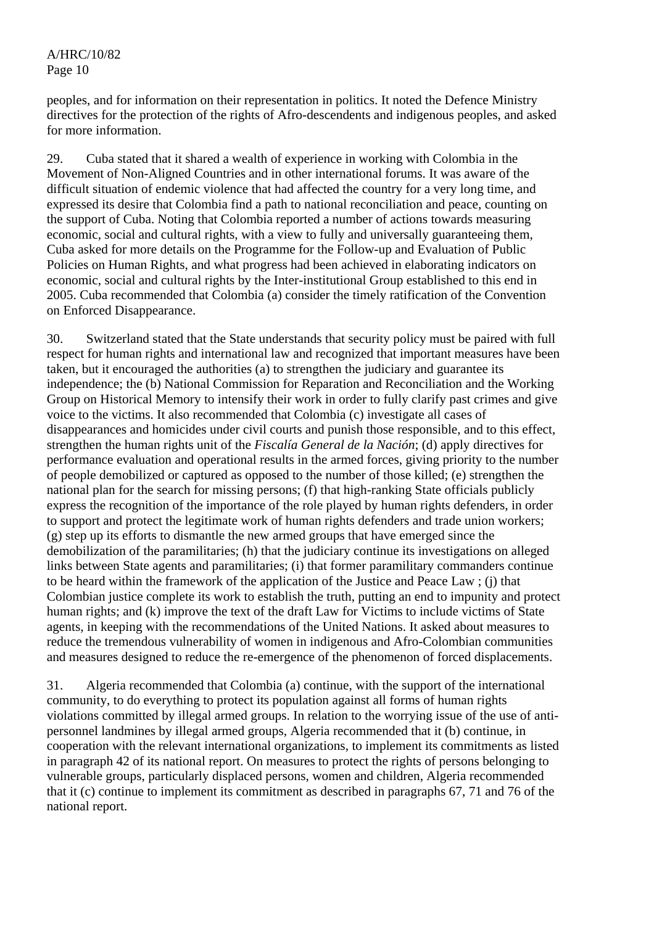peoples, and for information on their representation in politics. It noted the Defence Ministry directives for the protection of the rights of Afro-descendents and indigenous peoples, and asked for more information.

29. Cuba stated that it shared a wealth of experience in working with Colombia in the Movement of Non-Aligned Countries and in other international forums. It was aware of the difficult situation of endemic violence that had affected the country for a very long time, and expressed its desire that Colombia find a path to national reconciliation and peace, counting on the support of Cuba. Noting that Colombia reported a number of actions towards measuring economic, social and cultural rights, with a view to fully and universally guaranteeing them, Cuba asked for more details on the Programme for the Follow-up and Evaluation of Public Policies on Human Rights, and what progress had been achieved in elaborating indicators on economic, social and cultural rights by the Inter-institutional Group established to this end in 2005. Cuba recommended that Colombia (a) consider the timely ratification of the Convention on Enforced Disappearance.

30. Switzerland stated that the State understands that security policy must be paired with full respect for human rights and international law and recognized that important measures have been taken, but it encouraged the authorities (a) to strengthen the judiciary and guarantee its independence; the (b) National Commission for Reparation and Reconciliation and the Working Group on Historical Memory to intensify their work in order to fully clarify past crimes and give voice to the victims. It also recommended that Colombia (c) investigate all cases of disappearances and homicides under civil courts and punish those responsible, and to this effect, strengthen the human rights unit of the *Fiscalía General de la Nación*; (d) apply directives for performance evaluation and operational results in the armed forces, giving priority to the number of people demobilized or captured as opposed to the number of those killed; (e) strengthen the national plan for the search for missing persons; (f) that high-ranking State officials publicly express the recognition of the importance of the role played by human rights defenders, in order to support and protect the legitimate work of human rights defenders and trade union workers; (g) step up its efforts to dismantle the new armed groups that have emerged since the demobilization of the paramilitaries; (h) that the judiciary continue its investigations on alleged links between State agents and paramilitaries; (i) that former paramilitary commanders continue to be heard within the framework of the application of the Justice and Peace Law ; (j) that Colombian justice complete its work to establish the truth, putting an end to impunity and protect human rights; and (k) improve the text of the draft Law for Victims to include victims of State agents, in keeping with the recommendations of the United Nations. It asked about measures to reduce the tremendous vulnerability of women in indigenous and Afro-Colombian communities and measures designed to reduce the re-emergence of the phenomenon of forced displacements.

31. Algeria recommended that Colombia (a) continue, with the support of the international community, to do everything to protect its population against all forms of human rights violations committed by illegal armed groups. In relation to the worrying issue of the use of antipersonnel landmines by illegal armed groups, Algeria recommended that it (b) continue, in cooperation with the relevant international organizations, to implement its commitments as listed in paragraph 42 of its national report. On measures to protect the rights of persons belonging to vulnerable groups, particularly displaced persons, women and children, Algeria recommended that it (c) continue to implement its commitment as described in paragraphs 67, 71 and 76 of the national report.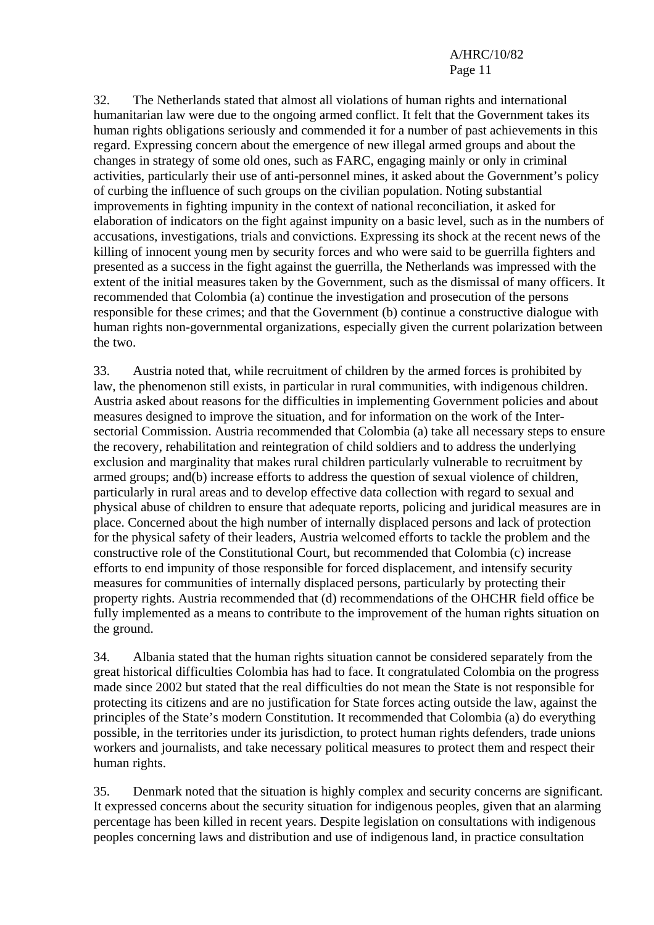32. The Netherlands stated that almost all violations of human rights and international humanitarian law were due to the ongoing armed conflict. It felt that the Government takes its human rights obligations seriously and commended it for a number of past achievements in this regard. Expressing concern about the emergence of new illegal armed groups and about the changes in strategy of some old ones, such as FARC, engaging mainly or only in criminal activities, particularly their use of anti-personnel mines, it asked about the Government's policy of curbing the influence of such groups on the civilian population. Noting substantial improvements in fighting impunity in the context of national reconciliation, it asked for elaboration of indicators on the fight against impunity on a basic level, such as in the numbers of accusations, investigations, trials and convictions. Expressing its shock at the recent news of the killing of innocent young men by security forces and who were said to be guerrilla fighters and presented as a success in the fight against the guerrilla, the Netherlands was impressed with the extent of the initial measures taken by the Government, such as the dismissal of many officers. It recommended that Colombia (a) continue the investigation and prosecution of the persons responsible for these crimes; and that the Government (b) continue a constructive dialogue with human rights non-governmental organizations, especially given the current polarization between the two.

33. Austria noted that, while recruitment of children by the armed forces is prohibited by law, the phenomenon still exists, in particular in rural communities, with indigenous children. Austria asked about reasons for the difficulties in implementing Government policies and about measures designed to improve the situation, and for information on the work of the Intersectorial Commission. Austria recommended that Colombia (a) take all necessary steps to ensure the recovery, rehabilitation and reintegration of child soldiers and to address the underlying exclusion and marginality that makes rural children particularly vulnerable to recruitment by armed groups; and(b) increase efforts to address the question of sexual violence of children, particularly in rural areas and to develop effective data collection with regard to sexual and physical abuse of children to ensure that adequate reports, policing and juridical measures are in place. Concerned about the high number of internally displaced persons and lack of protection for the physical safety of their leaders, Austria welcomed efforts to tackle the problem and the constructive role of the Constitutional Court, but recommended that Colombia (c) increase efforts to end impunity of those responsible for forced displacement, and intensify security measures for communities of internally displaced persons, particularly by protecting their property rights. Austria recommended that (d) recommendations of the OHCHR field office be fully implemented as a means to contribute to the improvement of the human rights situation on the ground.

34. Albania stated that the human rights situation cannot be considered separately from the great historical difficulties Colombia has had to face. It congratulated Colombia on the progress made since 2002 but stated that the real difficulties do not mean the State is not responsible for protecting its citizens and are no justification for State forces acting outside the law, against the principles of the State's modern Constitution. It recommended that Colombia (a) do everything possible, in the territories under its jurisdiction, to protect human rights defenders, trade unions workers and journalists, and take necessary political measures to protect them and respect their human rights.

35. Denmark noted that the situation is highly complex and security concerns are significant. It expressed concerns about the security situation for indigenous peoples, given that an alarming percentage has been killed in recent years. Despite legislation on consultations with indigenous peoples concerning laws and distribution and use of indigenous land, in practice consultation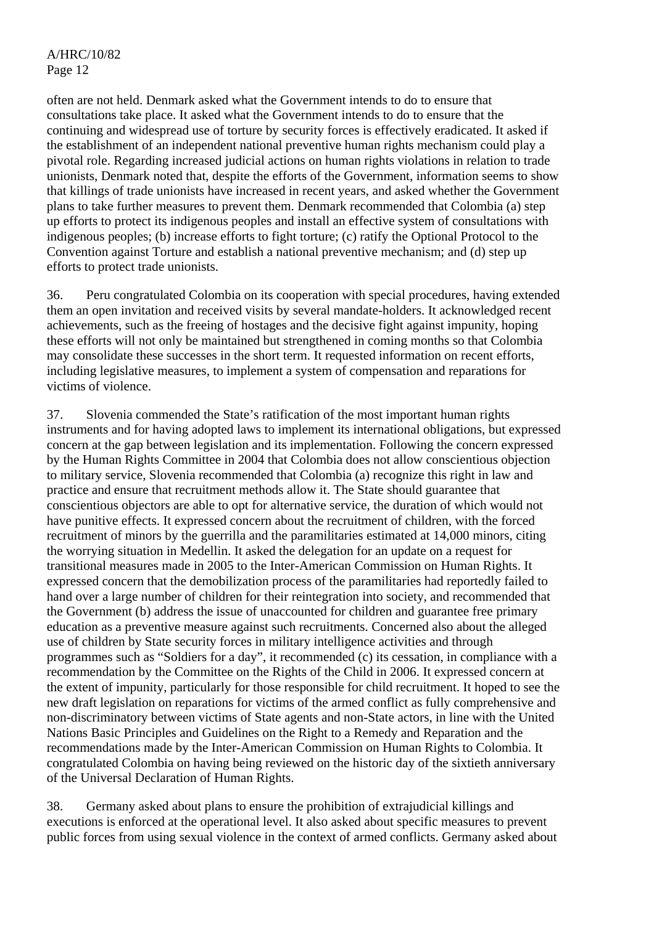often are not held. Denmark asked what the Government intends to do to ensure that consultations take place. It asked what the Government intends to do to ensure that the continuing and widespread use of torture by security forces is effectively eradicated. It asked if the establishment of an independent national preventive human rights mechanism could play a pivotal role. Regarding increased judicial actions on human rights violations in relation to trade unionists, Denmark noted that, despite the efforts of the Government, information seems to show that killings of trade unionists have increased in recent years, and asked whether the Government plans to take further measures to prevent them. Denmark recommended that Colombia (a) step up efforts to protect its indigenous peoples and install an effective system of consultations with indigenous peoples; (b) increase efforts to fight torture; (c) ratify the Optional Protocol to the Convention against Torture and establish a national preventive mechanism; and (d) step up efforts to protect trade unionists.

36. Peru congratulated Colombia on its cooperation with special procedures, having extended them an open invitation and received visits by several mandate-holders. It acknowledged recent achievements, such as the freeing of hostages and the decisive fight against impunity, hoping these efforts will not only be maintained but strengthened in coming months so that Colombia may consolidate these successes in the short term. It requested information on recent efforts, including legislative measures, to implement a system of compensation and reparations for victims of violence.

37. Slovenia commended the State's ratification of the most important human rights instruments and for having adopted laws to implement its international obligations, but expressed concern at the gap between legislation and its implementation. Following the concern expressed by the Human Rights Committee in 2004 that Colombia does not allow conscientious objection to military service, Slovenia recommended that Colombia (a) recognize this right in law and practice and ensure that recruitment methods allow it. The State should guarantee that conscientious objectors are able to opt for alternative service, the duration of which would not have punitive effects. It expressed concern about the recruitment of children, with the forced recruitment of minors by the guerrilla and the paramilitaries estimated at 14,000 minors, citing the worrying situation in Medellin. It asked the delegation for an update on a request for transitional measures made in 2005 to the Inter-American Commission on Human Rights. It expressed concern that the demobilization process of the paramilitaries had reportedly failed to hand over a large number of children for their reintegration into society, and recommended that the Government (b) address the issue of unaccounted for children and guarantee free primary education as a preventive measure against such recruitments. Concerned also about the alleged use of children by State security forces in military intelligence activities and through programmes such as "Soldiers for a day", it recommended (c) its cessation, in compliance with a recommendation by the Committee on the Rights of the Child in 2006. It expressed concern at the extent of impunity, particularly for those responsible for child recruitment. It hoped to see the new draft legislation on reparations for victims of the armed conflict as fully comprehensive and non-discriminatory between victims of State agents and non-State actors, in line with the United Nations Basic Principles and Guidelines on the Right to a Remedy and Reparation and the recommendations made by the Inter-American Commission on Human Rights to Colombia. It congratulated Colombia on having being reviewed on the historic day of the sixtieth anniversary of the Universal Declaration of Human Rights.

38. Germany asked about plans to ensure the prohibition of extrajudicial killings and executions is enforced at the operational level. It also asked about specific measures to prevent public forces from using sexual violence in the context of armed conflicts. Germany asked about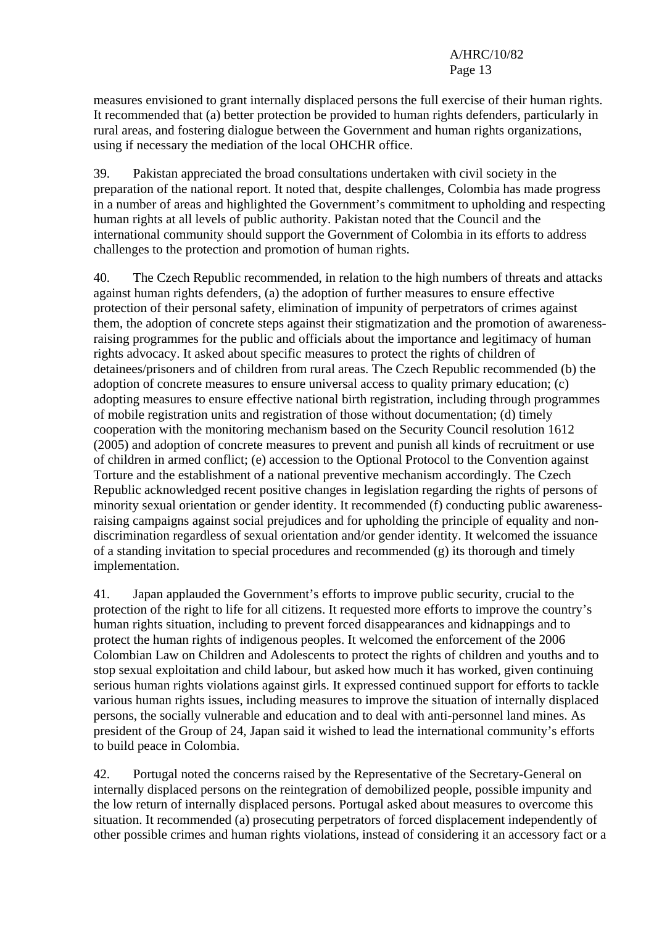measures envisioned to grant internally displaced persons the full exercise of their human rights. It recommended that (a) better protection be provided to human rights defenders, particularly in rural areas, and fostering dialogue between the Government and human rights organizations, using if necessary the mediation of the local OHCHR office.

39. Pakistan appreciated the broad consultations undertaken with civil society in the preparation of the national report. It noted that, despite challenges, Colombia has made progress in a number of areas and highlighted the Government's commitment to upholding and respecting human rights at all levels of public authority. Pakistan noted that the Council and the international community should support the Government of Colombia in its efforts to address challenges to the protection and promotion of human rights.

40. The Czech Republic recommended, in relation to the high numbers of threats and attacks against human rights defenders, (a) the adoption of further measures to ensure effective protection of their personal safety, elimination of impunity of perpetrators of crimes against them, the adoption of concrete steps against their stigmatization and the promotion of awarenessraising programmes for the public and officials about the importance and legitimacy of human rights advocacy. It asked about specific measures to protect the rights of children of detainees/prisoners and of children from rural areas. The Czech Republic recommended (b) the adoption of concrete measures to ensure universal access to quality primary education; (c) adopting measures to ensure effective national birth registration, including through programmes of mobile registration units and registration of those without documentation; (d) timely cooperation with the monitoring mechanism based on the Security Council resolution 1612 (2005) and adoption of concrete measures to prevent and punish all kinds of recruitment or use of children in armed conflict; (e) accession to the Optional Protocol to the Convention against Torture and the establishment of a national preventive mechanism accordingly. The Czech Republic acknowledged recent positive changes in legislation regarding the rights of persons of minority sexual orientation or gender identity. It recommended (f) conducting public awarenessraising campaigns against social prejudices and for upholding the principle of equality and nondiscrimination regardless of sexual orientation and/or gender identity. It welcomed the issuance of a standing invitation to special procedures and recommended (g) its thorough and timely implementation.

41. Japan applauded the Government's efforts to improve public security, crucial to the protection of the right to life for all citizens. It requested more efforts to improve the country's human rights situation, including to prevent forced disappearances and kidnappings and to protect the human rights of indigenous peoples. It welcomed the enforcement of the 2006 Colombian Law on Children and Adolescents to protect the rights of children and youths and to stop sexual exploitation and child labour, but asked how much it has worked, given continuing serious human rights violations against girls. It expressed continued support for efforts to tackle various human rights issues, including measures to improve the situation of internally displaced persons, the socially vulnerable and education and to deal with anti-personnel land mines. As president of the Group of 24, Japan said it wished to lead the international community's efforts to build peace in Colombia.

42. Portugal noted the concerns raised by the Representative of the Secretary-General on internally displaced persons on the reintegration of demobilized people, possible impunity and the low return of internally displaced persons. Portugal asked about measures to overcome this situation. It recommended (a) prosecuting perpetrators of forced displacement independently of other possible crimes and human rights violations, instead of considering it an accessory fact or a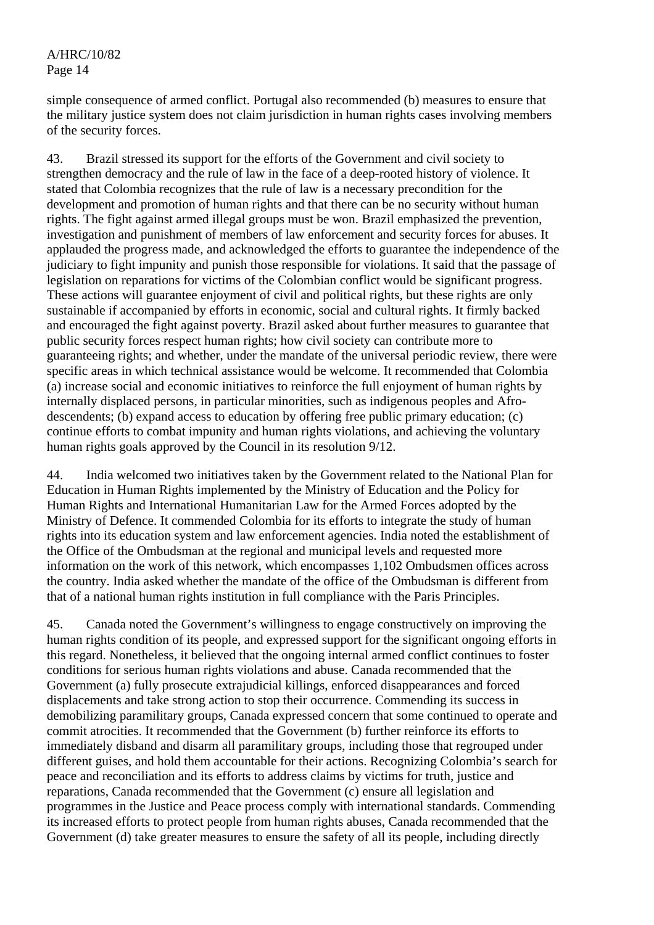simple consequence of armed conflict. Portugal also recommended (b) measures to ensure that the military justice system does not claim jurisdiction in human rights cases involving members of the security forces.

43. Brazil stressed its support for the efforts of the Government and civil society to strengthen democracy and the rule of law in the face of a deep-rooted history of violence. It stated that Colombia recognizes that the rule of law is a necessary precondition for the development and promotion of human rights and that there can be no security without human rights. The fight against armed illegal groups must be won. Brazil emphasized the prevention, investigation and punishment of members of law enforcement and security forces for abuses. It applauded the progress made, and acknowledged the efforts to guarantee the independence of the judiciary to fight impunity and punish those responsible for violations. It said that the passage of legislation on reparations for victims of the Colombian conflict would be significant progress. These actions will guarantee enjoyment of civil and political rights, but these rights are only sustainable if accompanied by efforts in economic, social and cultural rights. It firmly backed and encouraged the fight against poverty. Brazil asked about further measures to guarantee that public security forces respect human rights; how civil society can contribute more to guaranteeing rights; and whether, under the mandate of the universal periodic review, there were specific areas in which technical assistance would be welcome. It recommended that Colombia (a) increase social and economic initiatives to reinforce the full enjoyment of human rights by internally displaced persons, in particular minorities, such as indigenous peoples and Afrodescendents; (b) expand access to education by offering free public primary education; (c) continue efforts to combat impunity and human rights violations, and achieving the voluntary human rights goals approved by the Council in its resolution 9/12.

44. India welcomed two initiatives taken by the Government related to the National Plan for Education in Human Rights implemented by the Ministry of Education and the Policy for Human Rights and International Humanitarian Law for the Armed Forces adopted by the Ministry of Defence. It commended Colombia for its efforts to integrate the study of human rights into its education system and law enforcement agencies. India noted the establishment of the Office of the Ombudsman at the regional and municipal levels and requested more information on the work of this network, which encompasses 1,102 Ombudsmen offices across the country. India asked whether the mandate of the office of the Ombudsman is different from that of a national human rights institution in full compliance with the Paris Principles.

45. Canada noted the Government's willingness to engage constructively on improving the human rights condition of its people, and expressed support for the significant ongoing efforts in this regard. Nonetheless, it believed that the ongoing internal armed conflict continues to foster conditions for serious human rights violations and abuse. Canada recommended that the Government (a) fully prosecute extrajudicial killings, enforced disappearances and forced displacements and take strong action to stop their occurrence. Commending its success in demobilizing paramilitary groups, Canada expressed concern that some continued to operate and commit atrocities. It recommended that the Government (b) further reinforce its efforts to immediately disband and disarm all paramilitary groups, including those that regrouped under different guises, and hold them accountable for their actions. Recognizing Colombia's search for peace and reconciliation and its efforts to address claims by victims for truth, justice and reparations, Canada recommended that the Government (c) ensure all legislation and programmes in the Justice and Peace process comply with international standards. Commending its increased efforts to protect people from human rights abuses, Canada recommended that the Government (d) take greater measures to ensure the safety of all its people, including directly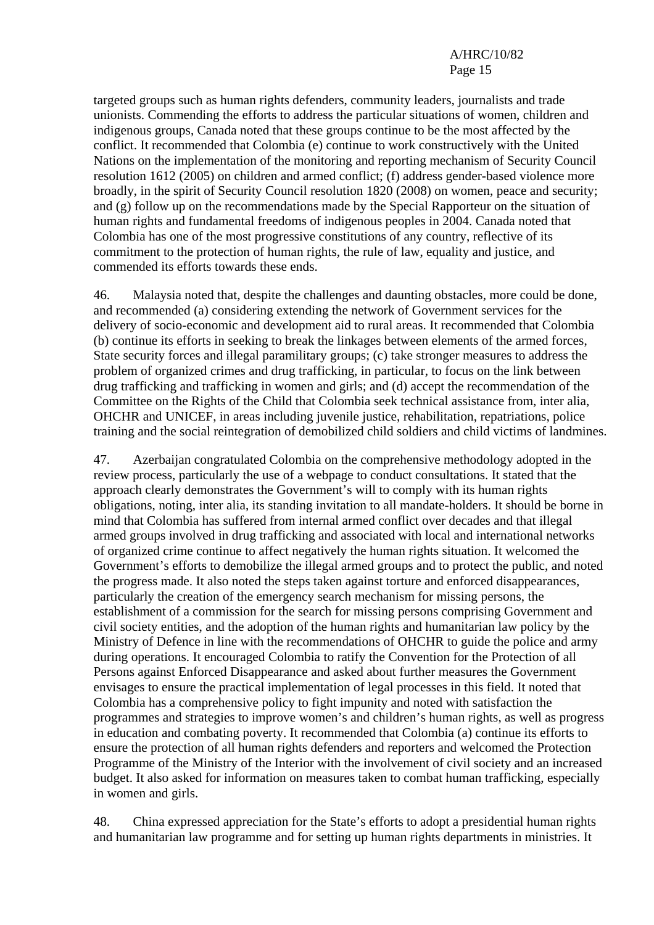targeted groups such as human rights defenders, community leaders, journalists and trade unionists. Commending the efforts to address the particular situations of women, children and indigenous groups, Canada noted that these groups continue to be the most affected by the conflict. It recommended that Colombia (e) continue to work constructively with the United Nations on the implementation of the monitoring and reporting mechanism of Security Council resolution 1612 (2005) on children and armed conflict; (f) address gender-based violence more broadly, in the spirit of Security Council resolution 1820 (2008) on women, peace and security; and (g) follow up on the recommendations made by the Special Rapporteur on the situation of human rights and fundamental freedoms of indigenous peoples in 2004. Canada noted that Colombia has one of the most progressive constitutions of any country, reflective of its commitment to the protection of human rights, the rule of law, equality and justice, and commended its efforts towards these ends.

46. Malaysia noted that, despite the challenges and daunting obstacles, more could be done, and recommended (a) considering extending the network of Government services for the delivery of socio-economic and development aid to rural areas. It recommended that Colombia (b) continue its efforts in seeking to break the linkages between elements of the armed forces, State security forces and illegal paramilitary groups; (c) take stronger measures to address the problem of organized crimes and drug trafficking, in particular, to focus on the link between drug trafficking and trafficking in women and girls; and (d) accept the recommendation of the Committee on the Rights of the Child that Colombia seek technical assistance from, inter alia, OHCHR and UNICEF, in areas including juvenile justice, rehabilitation, repatriations, police training and the social reintegration of demobilized child soldiers and child victims of landmines.

47. Azerbaijan congratulated Colombia on the comprehensive methodology adopted in the review process, particularly the use of a webpage to conduct consultations. It stated that the approach clearly demonstrates the Government's will to comply with its human rights obligations, noting, inter alia, its standing invitation to all mandate-holders. It should be borne in mind that Colombia has suffered from internal armed conflict over decades and that illegal armed groups involved in drug trafficking and associated with local and international networks of organized crime continue to affect negatively the human rights situation. It welcomed the Government's efforts to demobilize the illegal armed groups and to protect the public, and noted the progress made. It also noted the steps taken against torture and enforced disappearances, particularly the creation of the emergency search mechanism for missing persons, the establishment of a commission for the search for missing persons comprising Government and civil society entities, and the adoption of the human rights and humanitarian law policy by the Ministry of Defence in line with the recommendations of OHCHR to guide the police and army during operations. It encouraged Colombia to ratify the Convention for the Protection of all Persons against Enforced Disappearance and asked about further measures the Government envisages to ensure the practical implementation of legal processes in this field. It noted that Colombia has a comprehensive policy to fight impunity and noted with satisfaction the programmes and strategies to improve women's and children's human rights, as well as progress in education and combating poverty. It recommended that Colombia (a) continue its efforts to ensure the protection of all human rights defenders and reporters and welcomed the Protection Programme of the Ministry of the Interior with the involvement of civil society and an increased budget. It also asked for information on measures taken to combat human trafficking, especially in women and girls.

48. China expressed appreciation for the State's efforts to adopt a presidential human rights and humanitarian law programme and for setting up human rights departments in ministries. It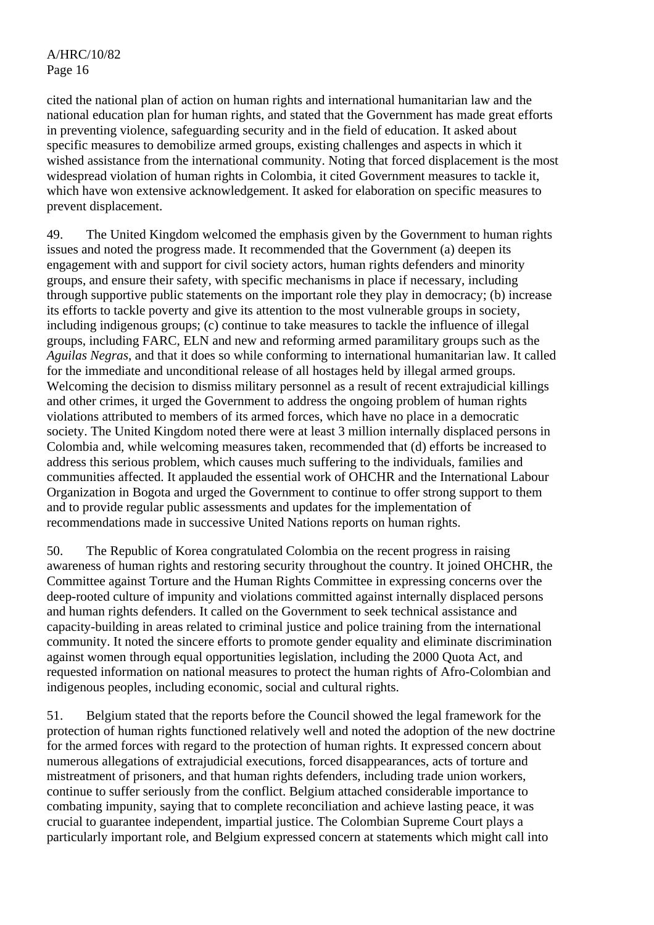cited the national plan of action on human rights and international humanitarian law and the national education plan for human rights, and stated that the Government has made great efforts in preventing violence, safeguarding security and in the field of education. It asked about specific measures to demobilize armed groups, existing challenges and aspects in which it wished assistance from the international community. Noting that forced displacement is the most widespread violation of human rights in Colombia, it cited Government measures to tackle it, which have won extensive acknowledgement. It asked for elaboration on specific measures to prevent displacement.

49. The United Kingdom welcomed the emphasis given by the Government to human rights issues and noted the progress made. It recommended that the Government (a) deepen its engagement with and support for civil society actors, human rights defenders and minority groups, and ensure their safety, with specific mechanisms in place if necessary, including through supportive public statements on the important role they play in democracy; (b) increase its efforts to tackle poverty and give its attention to the most vulnerable groups in society, including indigenous groups; (c) continue to take measures to tackle the influence of illegal groups, including FARC, ELN and new and reforming armed paramilitary groups such as the *Aguilas Negras*, and that it does so while conforming to international humanitarian law. It called for the immediate and unconditional release of all hostages held by illegal armed groups. Welcoming the decision to dismiss military personnel as a result of recent extrajudicial killings and other crimes, it urged the Government to address the ongoing problem of human rights violations attributed to members of its armed forces, which have no place in a democratic society. The United Kingdom noted there were at least 3 million internally displaced persons in Colombia and, while welcoming measures taken, recommended that (d) efforts be increased to address this serious problem, which causes much suffering to the individuals, families and communities affected. It applauded the essential work of OHCHR and the International Labour Organization in Bogota and urged the Government to continue to offer strong support to them and to provide regular public assessments and updates for the implementation of recommendations made in successive United Nations reports on human rights.

50. The Republic of Korea congratulated Colombia on the recent progress in raising awareness of human rights and restoring security throughout the country. It joined OHCHR, the Committee against Torture and the Human Rights Committee in expressing concerns over the deep-rooted culture of impunity and violations committed against internally displaced persons and human rights defenders. It called on the Government to seek technical assistance and capacity-building in areas related to criminal justice and police training from the international community. It noted the sincere efforts to promote gender equality and eliminate discrimination against women through equal opportunities legislation, including the 2000 Quota Act, and requested information on national measures to protect the human rights of Afro-Colombian and indigenous peoples, including economic, social and cultural rights.

51. Belgium stated that the reports before the Council showed the legal framework for the protection of human rights functioned relatively well and noted the adoption of the new doctrine for the armed forces with regard to the protection of human rights. It expressed concern about numerous allegations of extrajudicial executions, forced disappearances, acts of torture and mistreatment of prisoners, and that human rights defenders, including trade union workers, continue to suffer seriously from the conflict. Belgium attached considerable importance to combating impunity, saying that to complete reconciliation and achieve lasting peace, it was crucial to guarantee independent, impartial justice. The Colombian Supreme Court plays a particularly important role, and Belgium expressed concern at statements which might call into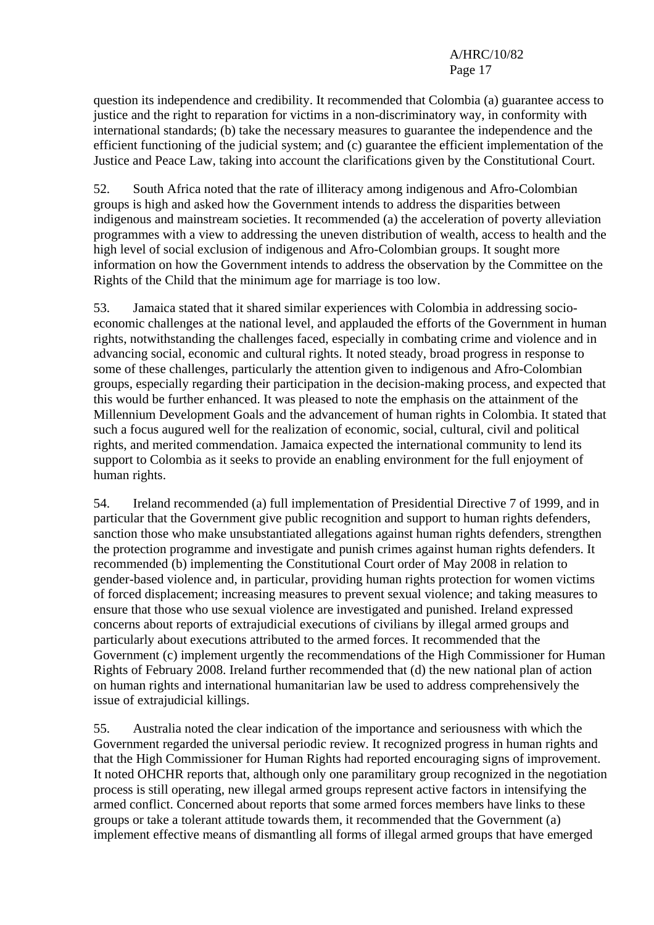question its independence and credibility. It recommended that Colombia (a) guarantee access to justice and the right to reparation for victims in a non-discriminatory way, in conformity with international standards; (b) take the necessary measures to guarantee the independence and the efficient functioning of the judicial system; and (c) guarantee the efficient implementation of the Justice and Peace Law, taking into account the clarifications given by the Constitutional Court.

52. South Africa noted that the rate of illiteracy among indigenous and Afro-Colombian groups is high and asked how the Government intends to address the disparities between indigenous and mainstream societies. It recommended (a) the acceleration of poverty alleviation programmes with a view to addressing the uneven distribution of wealth, access to health and the high level of social exclusion of indigenous and Afro-Colombian groups. It sought more information on how the Government intends to address the observation by the Committee on the Rights of the Child that the minimum age for marriage is too low.

53. Jamaica stated that it shared similar experiences with Colombia in addressing socioeconomic challenges at the national level, and applauded the efforts of the Government in human rights, notwithstanding the challenges faced, especially in combating crime and violence and in advancing social, economic and cultural rights. It noted steady, broad progress in response to some of these challenges, particularly the attention given to indigenous and Afro-Colombian groups, especially regarding their participation in the decision-making process, and expected that this would be further enhanced. It was pleased to note the emphasis on the attainment of the Millennium Development Goals and the advancement of human rights in Colombia. It stated that such a focus augured well for the realization of economic, social, cultural, civil and political rights, and merited commendation. Jamaica expected the international community to lend its support to Colombia as it seeks to provide an enabling environment for the full enjoyment of human rights.

54. Ireland recommended (a) full implementation of Presidential Directive 7 of 1999, and in particular that the Government give public recognition and support to human rights defenders, sanction those who make unsubstantiated allegations against human rights defenders, strengthen the protection programme and investigate and punish crimes against human rights defenders. It recommended (b) implementing the Constitutional Court order of May 2008 in relation to gender-based violence and, in particular, providing human rights protection for women victims of forced displacement; increasing measures to prevent sexual violence; and taking measures to ensure that those who use sexual violence are investigated and punished. Ireland expressed concerns about reports of extrajudicial executions of civilians by illegal armed groups and particularly about executions attributed to the armed forces. It recommended that the Government (c) implement urgently the recommendations of the High Commissioner for Human Rights of February 2008. Ireland further recommended that (d) the new national plan of action on human rights and international humanitarian law be used to address comprehensively the issue of extrajudicial killings.

55. Australia noted the clear indication of the importance and seriousness with which the Government regarded the universal periodic review. It recognized progress in human rights and that the High Commissioner for Human Rights had reported encouraging signs of improvement. It noted OHCHR reports that, although only one paramilitary group recognized in the negotiation process is still operating, new illegal armed groups represent active factors in intensifying the armed conflict. Concerned about reports that some armed forces members have links to these groups or take a tolerant attitude towards them, it recommended that the Government (a) implement effective means of dismantling all forms of illegal armed groups that have emerged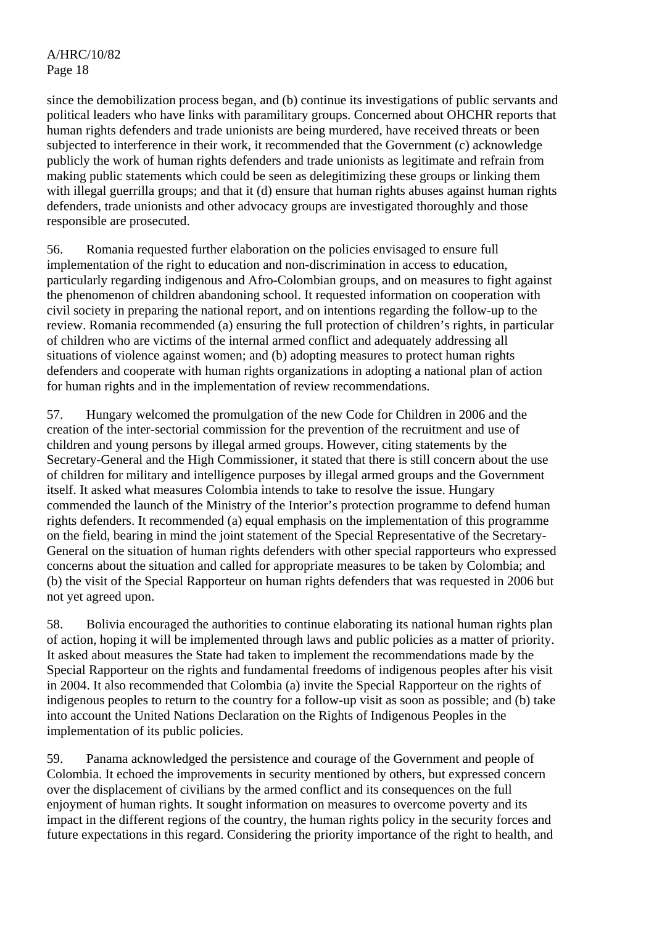since the demobilization process began, and (b) continue its investigations of public servants and political leaders who have links with paramilitary groups. Concerned about OHCHR reports that human rights defenders and trade unionists are being murdered, have received threats or been subjected to interference in their work, it recommended that the Government (c) acknowledge publicly the work of human rights defenders and trade unionists as legitimate and refrain from making public statements which could be seen as delegitimizing these groups or linking them with illegal guerrilla groups; and that it (d) ensure that human rights abuses against human rights defenders, trade unionists and other advocacy groups are investigated thoroughly and those responsible are prosecuted.

56. Romania requested further elaboration on the policies envisaged to ensure full implementation of the right to education and non-discrimination in access to education, particularly regarding indigenous and Afro-Colombian groups, and on measures to fight against the phenomenon of children abandoning school. It requested information on cooperation with civil society in preparing the national report, and on intentions regarding the follow-up to the review. Romania recommended (a) ensuring the full protection of children's rights, in particular of children who are victims of the internal armed conflict and adequately addressing all situations of violence against women; and (b) adopting measures to protect human rights defenders and cooperate with human rights organizations in adopting a national plan of action for human rights and in the implementation of review recommendations.

57. Hungary welcomed the promulgation of the new Code for Children in 2006 and the creation of the inter-sectorial commission for the prevention of the recruitment and use of children and young persons by illegal armed groups. However, citing statements by the Secretary-General and the High Commissioner, it stated that there is still concern about the use of children for military and intelligence purposes by illegal armed groups and the Government itself. It asked what measures Colombia intends to take to resolve the issue. Hungary commended the launch of the Ministry of the Interior's protection programme to defend human rights defenders. It recommended (a) equal emphasis on the implementation of this programme on the field, bearing in mind the joint statement of the Special Representative of the Secretary-General on the situation of human rights defenders with other special rapporteurs who expressed concerns about the situation and called for appropriate measures to be taken by Colombia; and (b) the visit of the Special Rapporteur on human rights defenders that was requested in 2006 but not yet agreed upon.

58. Bolivia encouraged the authorities to continue elaborating its national human rights plan of action, hoping it will be implemented through laws and public policies as a matter of priority. It asked about measures the State had taken to implement the recommendations made by the Special Rapporteur on the rights and fundamental freedoms of indigenous peoples after his visit in 2004. It also recommended that Colombia (a) invite the Special Rapporteur on the rights of indigenous peoples to return to the country for a follow-up visit as soon as possible; and (b) take into account the United Nations Declaration on the Rights of Indigenous Peoples in the implementation of its public policies.

59. Panama acknowledged the persistence and courage of the Government and people of Colombia. It echoed the improvements in security mentioned by others, but expressed concern over the displacement of civilians by the armed conflict and its consequences on the full enjoyment of human rights. It sought information on measures to overcome poverty and its impact in the different regions of the country, the human rights policy in the security forces and future expectations in this regard. Considering the priority importance of the right to health, and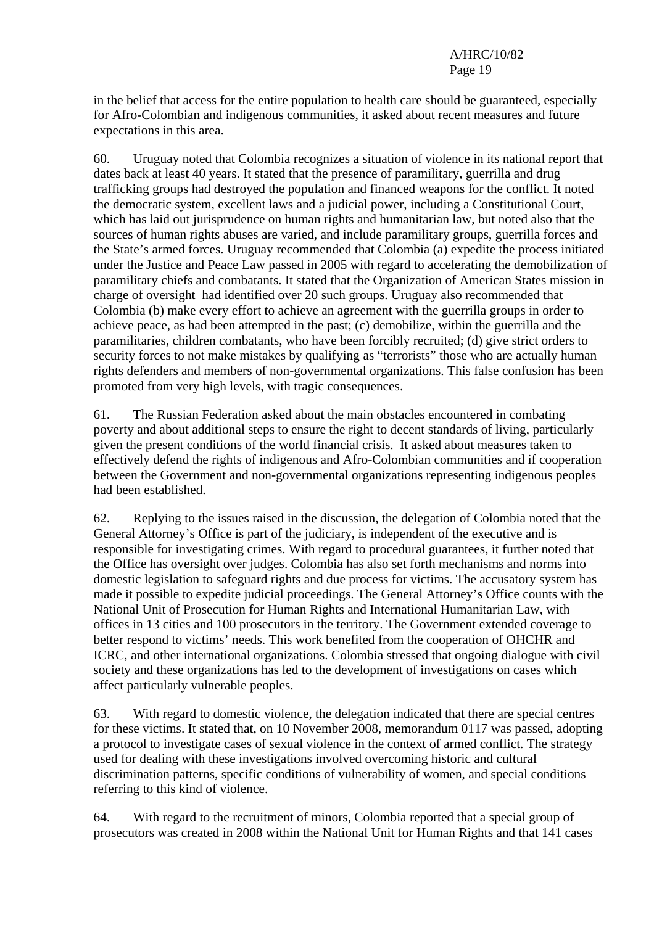in the belief that access for the entire population to health care should be guaranteed, especially for Afro-Colombian and indigenous communities, it asked about recent measures and future expectations in this area.

60. Uruguay noted that Colombia recognizes a situation of violence in its national report that dates back at least 40 years. It stated that the presence of paramilitary, guerrilla and drug trafficking groups had destroyed the population and financed weapons for the conflict. It noted the democratic system, excellent laws and a judicial power, including a Constitutional Court, which has laid out jurisprudence on human rights and humanitarian law, but noted also that the sources of human rights abuses are varied, and include paramilitary groups, guerrilla forces and the State's armed forces. Uruguay recommended that Colombia (a) expedite the process initiated under the Justice and Peace Law passed in 2005 with regard to accelerating the demobilization of paramilitary chiefs and combatants. It stated that the Organization of American States mission in charge of oversight had identified over 20 such groups. Uruguay also recommended that Colombia (b) make every effort to achieve an agreement with the guerrilla groups in order to achieve peace, as had been attempted in the past; (c) demobilize, within the guerrilla and the paramilitaries, children combatants, who have been forcibly recruited; (d) give strict orders to security forces to not make mistakes by qualifying as "terrorists" those who are actually human rights defenders and members of non-governmental organizations. This false confusion has been promoted from very high levels, with tragic consequences.

61. The Russian Federation asked about the main obstacles encountered in combating poverty and about additional steps to ensure the right to decent standards of living, particularly given the present conditions of the world financial crisis. It asked about measures taken to effectively defend the rights of indigenous and Afro-Colombian communities and if cooperation between the Government and non-governmental organizations representing indigenous peoples had been established.

62. Replying to the issues raised in the discussion, the delegation of Colombia noted that the General Attorney's Office is part of the judiciary, is independent of the executive and is responsible for investigating crimes. With regard to procedural guarantees, it further noted that the Office has oversight over judges. Colombia has also set forth mechanisms and norms into domestic legislation to safeguard rights and due process for victims. The accusatory system has made it possible to expedite judicial proceedings. The General Attorney's Office counts with the National Unit of Prosecution for Human Rights and International Humanitarian Law, with offices in 13 cities and 100 prosecutors in the territory. The Government extended coverage to better respond to victims' needs. This work benefited from the cooperation of OHCHR and ICRC, and other international organizations. Colombia stressed that ongoing dialogue with civil society and these organizations has led to the development of investigations on cases which affect particularly vulnerable peoples.

63. With regard to domestic violence, the delegation indicated that there are special centres for these victims. It stated that, on 10 November 2008, memorandum 0117 was passed, adopting a protocol to investigate cases of sexual violence in the context of armed conflict. The strategy used for dealing with these investigations involved overcoming historic and cultural discrimination patterns, specific conditions of vulnerability of women, and special conditions referring to this kind of violence.

64. With regard to the recruitment of minors, Colombia reported that a special group of prosecutors was created in 2008 within the National Unit for Human Rights and that 141 cases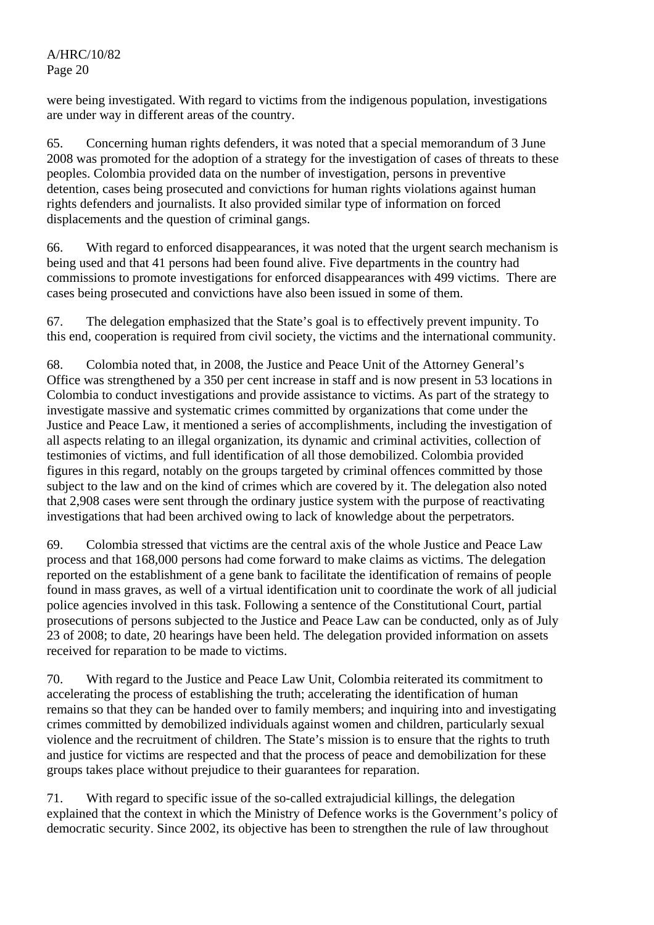were being investigated. With regard to victims from the indigenous population, investigations are under way in different areas of the country.

65. Concerning human rights defenders, it was noted that a special memorandum of 3 June 2008 was promoted for the adoption of a strategy for the investigation of cases of threats to these peoples. Colombia provided data on the number of investigation, persons in preventive detention, cases being prosecuted and convictions for human rights violations against human rights defenders and journalists. It also provided similar type of information on forced displacements and the question of criminal gangs.

66. With regard to enforced disappearances, it was noted that the urgent search mechanism is being used and that 41 persons had been found alive. Five departments in the country had commissions to promote investigations for enforced disappearances with 499 victims. There are cases being prosecuted and convictions have also been issued in some of them.

67. The delegation emphasized that the State's goal is to effectively prevent impunity. To this end, cooperation is required from civil society, the victims and the international community.

68. Colombia noted that, in 2008, the Justice and Peace Unit of the Attorney General's Office was strengthened by a 350 per cent increase in staff and is now present in 53 locations in Colombia to conduct investigations and provide assistance to victims. As part of the strategy to investigate massive and systematic crimes committed by organizations that come under the Justice and Peace Law, it mentioned a series of accomplishments, including the investigation of all aspects relating to an illegal organization, its dynamic and criminal activities, collection of testimonies of victims, and full identification of all those demobilized. Colombia provided figures in this regard, notably on the groups targeted by criminal offences committed by those subject to the law and on the kind of crimes which are covered by it. The delegation also noted that 2,908 cases were sent through the ordinary justice system with the purpose of reactivating investigations that had been archived owing to lack of knowledge about the perpetrators.

69. Colombia stressed that victims are the central axis of the whole Justice and Peace Law process and that 168,000 persons had come forward to make claims as victims. The delegation reported on the establishment of a gene bank to facilitate the identification of remains of people found in mass graves, as well of a virtual identification unit to coordinate the work of all judicial police agencies involved in this task. Following a sentence of the Constitutional Court, partial prosecutions of persons subjected to the Justice and Peace Law can be conducted, only as of July 23 of 2008; to date, 20 hearings have been held. The delegation provided information on assets received for reparation to be made to victims.

70. With regard to the Justice and Peace Law Unit, Colombia reiterated its commitment to accelerating the process of establishing the truth; accelerating the identification of human remains so that they can be handed over to family members; and inquiring into and investigating crimes committed by demobilized individuals against women and children, particularly sexual violence and the recruitment of children. The State's mission is to ensure that the rights to truth and justice for victims are respected and that the process of peace and demobilization for these groups takes place without prejudice to their guarantees for reparation.

71. With regard to specific issue of the so-called extrajudicial killings, the delegation explained that the context in which the Ministry of Defence works is the Government's policy of democratic security. Since 2002, its objective has been to strengthen the rule of law throughout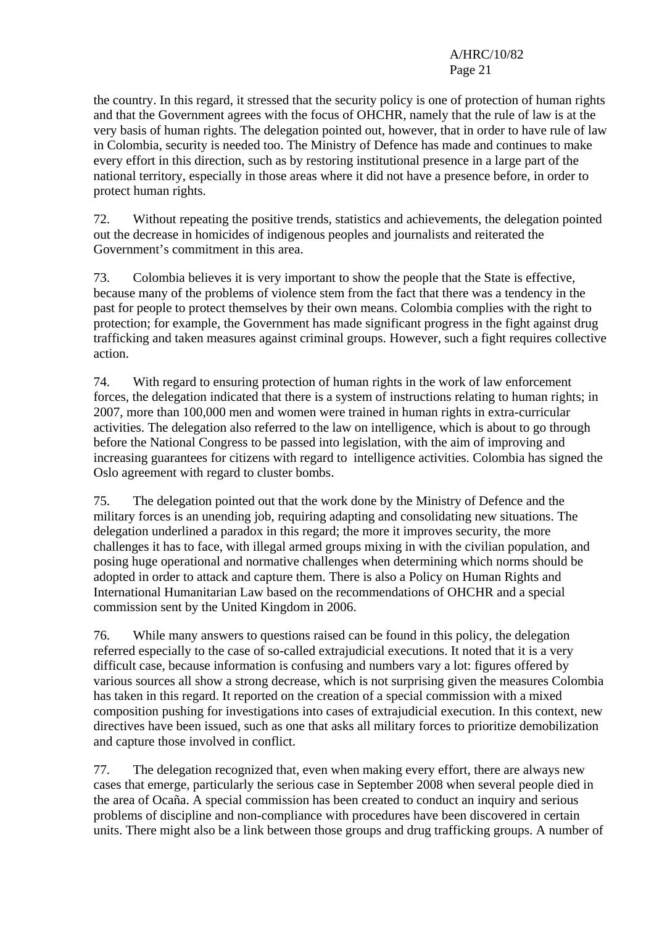the country. In this regard, it stressed that the security policy is one of protection of human rights and that the Government agrees with the focus of OHCHR, namely that the rule of law is at the very basis of human rights. The delegation pointed out, however, that in order to have rule of law in Colombia, security is needed too. The Ministry of Defence has made and continues to make every effort in this direction, such as by restoring institutional presence in a large part of the national territory, especially in those areas where it did not have a presence before, in order to protect human rights.

72. Without repeating the positive trends, statistics and achievements, the delegation pointed out the decrease in homicides of indigenous peoples and journalists and reiterated the Government's commitment in this area.

73. Colombia believes it is very important to show the people that the State is effective, because many of the problems of violence stem from the fact that there was a tendency in the past for people to protect themselves by their own means. Colombia complies with the right to protection: for example, the Government has made significant progress in the fight against drug trafficking and taken measures against criminal groups. However, such a fight requires collective action.

74. With regard to ensuring protection of human rights in the work of law enforcement forces, the delegation indicated that there is a system of instructions relating to human rights; in 2007, more than 100,000 men and women were trained in human rights in extra-curricular activities. The delegation also referred to the law on intelligence, which is about to go through before the National Congress to be passed into legislation, with the aim of improving and increasing guarantees for citizens with regard to intelligence activities. Colombia has signed the Oslo agreement with regard to cluster bombs.

75. The delegation pointed out that the work done by the Ministry of Defence and the military forces is an unending job, requiring adapting and consolidating new situations. The delegation underlined a paradox in this regard; the more it improves security, the more challenges it has to face, with illegal armed groups mixing in with the civilian population, and posing huge operational and normative challenges when determining which norms should be adopted in order to attack and capture them. There is also a Policy on Human Rights and International Humanitarian Law based on the recommendations of OHCHR and a special commission sent by the United Kingdom in 2006.

76. While many answers to questions raised can be found in this policy, the delegation referred especially to the case of so-called extrajudicial executions. It noted that it is a very difficult case, because information is confusing and numbers vary a lot: figures offered by various sources all show a strong decrease, which is not surprising given the measures Colombia has taken in this regard. It reported on the creation of a special commission with a mixed composition pushing for investigations into cases of extrajudicial execution. In this context, new directives have been issued, such as one that asks all military forces to prioritize demobilization and capture those involved in conflict.

77. The delegation recognized that, even when making every effort, there are always new cases that emerge, particularly the serious case in September 2008 when several people died in the area of Ocaña. A special commission has been created to conduct an inquiry and serious problems of discipline and non-compliance with procedures have been discovered in certain units. There might also be a link between those groups and drug trafficking groups. A number of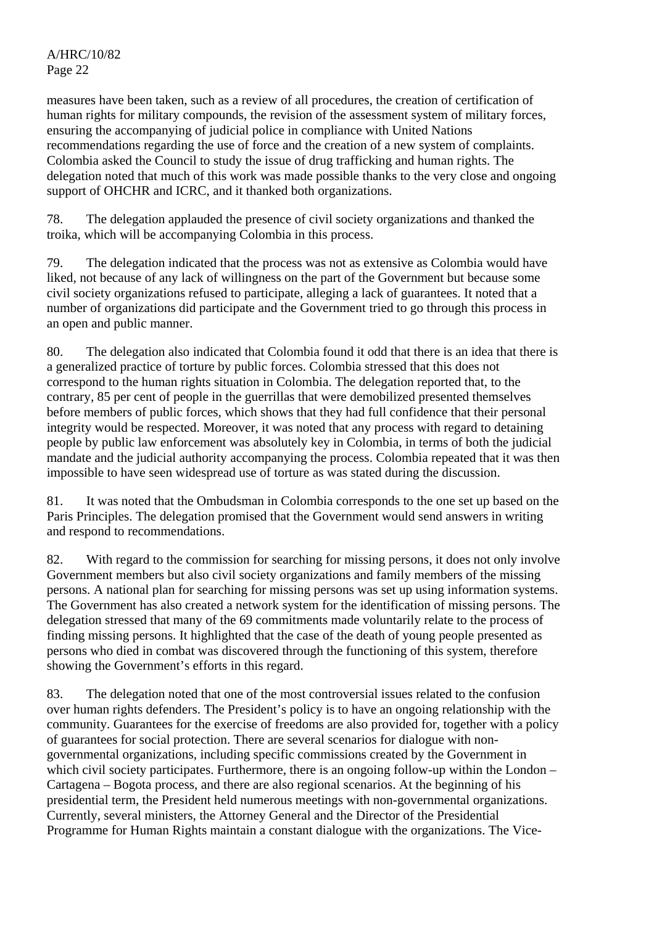measures have been taken, such as a review of all procedures, the creation of certification of human rights for military compounds, the revision of the assessment system of military forces, ensuring the accompanying of judicial police in compliance with United Nations recommendations regarding the use of force and the creation of a new system of complaints. Colombia asked the Council to study the issue of drug trafficking and human rights. The delegation noted that much of this work was made possible thanks to the very close and ongoing support of OHCHR and ICRC, and it thanked both organizations.

78. The delegation applauded the presence of civil society organizations and thanked the troika, which will be accompanying Colombia in this process.

79. The delegation indicated that the process was not as extensive as Colombia would have liked, not because of any lack of willingness on the part of the Government but because some civil society organizations refused to participate, alleging a lack of guarantees. It noted that a number of organizations did participate and the Government tried to go through this process in an open and public manner.

80. The delegation also indicated that Colombia found it odd that there is an idea that there is a generalized practice of torture by public forces. Colombia stressed that this does not correspond to the human rights situation in Colombia. The delegation reported that, to the contrary, 85 per cent of people in the guerrillas that were demobilized presented themselves before members of public forces, which shows that they had full confidence that their personal integrity would be respected. Moreover, it was noted that any process with regard to detaining people by public law enforcement was absolutely key in Colombia, in terms of both the judicial mandate and the judicial authority accompanying the process. Colombia repeated that it was then impossible to have seen widespread use of torture as was stated during the discussion.

81. It was noted that the Ombudsman in Colombia corresponds to the one set up based on the Paris Principles. The delegation promised that the Government would send answers in writing and respond to recommendations.

82. With regard to the commission for searching for missing persons, it does not only involve Government members but also civil society organizations and family members of the missing persons. A national plan for searching for missing persons was set up using information systems. The Government has also created a network system for the identification of missing persons. The delegation stressed that many of the 69 commitments made voluntarily relate to the process of finding missing persons. It highlighted that the case of the death of young people presented as persons who died in combat was discovered through the functioning of this system, therefore showing the Government's efforts in this regard.

83. The delegation noted that one of the most controversial issues related to the confusion over human rights defenders. The President's policy is to have an ongoing relationship with the community. Guarantees for the exercise of freedoms are also provided for, together with a policy of guarantees for social protection. There are several scenarios for dialogue with nongovernmental organizations, including specific commissions created by the Government in which civil society participates. Furthermore, there is an ongoing follow-up within the London – Cartagena – Bogota process, and there are also regional scenarios. At the beginning of his presidential term, the President held numerous meetings with non-governmental organizations. Currently, several ministers, the Attorney General and the Director of the Presidential Programme for Human Rights maintain a constant dialogue with the organizations. The Vice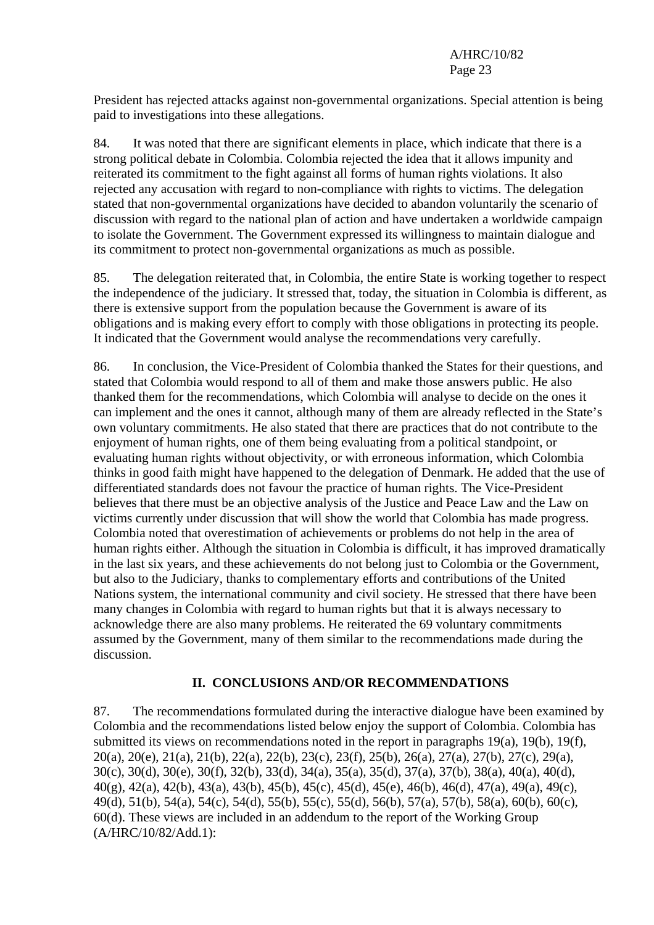President has rejected attacks against non-governmental organizations. Special attention is being paid to investigations into these allegations.

84. It was noted that there are significant elements in place, which indicate that there is a strong political debate in Colombia. Colombia rejected the idea that it allows impunity and reiterated its commitment to the fight against all forms of human rights violations. It also rejected any accusation with regard to non-compliance with rights to victims. The delegation stated that non-governmental organizations have decided to abandon voluntarily the scenario of discussion with regard to the national plan of action and have undertaken a worldwide campaign to isolate the Government. The Government expressed its willingness to maintain dialogue and its commitment to protect non-governmental organizations as much as possible.

85. The delegation reiterated that, in Colombia, the entire State is working together to respect the independence of the judiciary. It stressed that, today, the situation in Colombia is different, as there is extensive support from the population because the Government is aware of its obligations and is making every effort to comply with those obligations in protecting its people. It indicated that the Government would analyse the recommendations very carefully.

86. In conclusion, the Vice-President of Colombia thanked the States for their questions, and stated that Colombia would respond to all of them and make those answers public. He also thanked them for the recommendations, which Colombia will analyse to decide on the ones it can implement and the ones it cannot, although many of them are already reflected in the State's own voluntary commitments. He also stated that there are practices that do not contribute to the enjoyment of human rights, one of them being evaluating from a political standpoint, or evaluating human rights without objectivity, or with erroneous information, which Colombia thinks in good faith might have happened to the delegation of Denmark. He added that the use of differentiated standards does not favour the practice of human rights. The Vice-President believes that there must be an objective analysis of the Justice and Peace Law and the Law on victims currently under discussion that will show the world that Colombia has made progress. Colombia noted that overestimation of achievements or problems do not help in the area of human rights either. Although the situation in Colombia is difficult, it has improved dramatically in the last six years, and these achievements do not belong just to Colombia or the Government, but also to the Judiciary, thanks to complementary efforts and contributions of the United Nations system, the international community and civil society. He stressed that there have been many changes in Colombia with regard to human rights but that it is always necessary to acknowledge there are also many problems. He reiterated the 69 voluntary commitments assumed by the Government, many of them similar to the recommendations made during the discussion.

#### **II. CONCLUSIONS AND/OR RECOMMENDATIONS**

87. The recommendations formulated during the interactive dialogue have been examined by Colombia and the recommendations listed below enjoy the support of Colombia. Colombia has submitted its views on recommendations noted in the report in paragraphs  $19(a)$ ,  $19(b)$ ,  $19(f)$ , 20(a), 20(e), 21(a), 21(b), 22(a), 22(b), 23(c), 23(f), 25(b), 26(a), 27(a), 27(b), 27(c), 29(a), 30(c), 30(d), 30(e), 30(f), 32(b), 33(d), 34(a), 35(a), 35(d), 37(a), 37(b), 38(a), 40(a), 40(d), 40(g), 42(a), 42(b), 43(a), 43(b), 45(b), 45(c), 45(d), 45(e), 46(b), 46(d), 47(a), 49(a), 49(c), 49(d), 51(b), 54(a), 54(c), 54(d), 55(b), 55(c), 55(d), 56(b), 57(a), 57(b), 58(a), 60(b), 60(c), 60(d). These views are included in an addendum to the report of the Working Group (A/HRC/10/82/Add.1):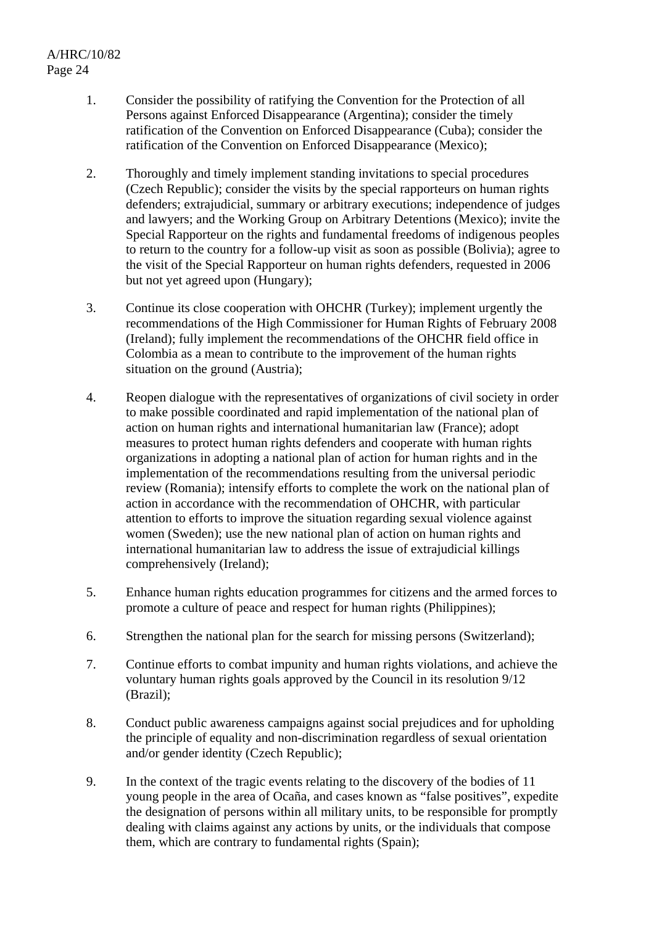- 1. Consider the possibility of ratifying the Convention for the Protection of all Persons against Enforced Disappearance (Argentina); consider the timely ratification of the Convention on Enforced Disappearance (Cuba); consider the ratification of the Convention on Enforced Disappearance (Mexico);
- 2. Thoroughly and timely implement standing invitations to special procedures (Czech Republic); consider the visits by the special rapporteurs on human rights defenders; extrajudicial, summary or arbitrary executions; independence of judges and lawyers; and the Working Group on Arbitrary Detentions (Mexico); invite the Special Rapporteur on the rights and fundamental freedoms of indigenous peoples to return to the country for a follow-up visit as soon as possible (Bolivia); agree to the visit of the Special Rapporteur on human rights defenders, requested in 2006 but not yet agreed upon (Hungary);
- 3. Continue its close cooperation with OHCHR (Turkey); implement urgently the recommendations of the High Commissioner for Human Rights of February 2008 (Ireland); fully implement the recommendations of the OHCHR field office in Colombia as a mean to contribute to the improvement of the human rights situation on the ground (Austria);
- 4. Reopen dialogue with the representatives of organizations of civil society in order to make possible coordinated and rapid implementation of the national plan of action on human rights and international humanitarian law (France); adopt measures to protect human rights defenders and cooperate with human rights organizations in adopting a national plan of action for human rights and in the implementation of the recommendations resulting from the universal periodic review (Romania); intensify efforts to complete the work on the national plan of action in accordance with the recommendation of OHCHR, with particular attention to efforts to improve the situation regarding sexual violence against women (Sweden); use the new national plan of action on human rights and international humanitarian law to address the issue of extrajudicial killings comprehensively (Ireland);
- 5. Enhance human rights education programmes for citizens and the armed forces to promote a culture of peace and respect for human rights (Philippines);
- 6. Strengthen the national plan for the search for missing persons (Switzerland);
- 7. Continue efforts to combat impunity and human rights violations, and achieve the voluntary human rights goals approved by the Council in its resolution 9/12 (Brazil);
- 8. Conduct public awareness campaigns against social prejudices and for upholding the principle of equality and non-discrimination regardless of sexual orientation and/or gender identity (Czech Republic);
- 9. In the context of the tragic events relating to the discovery of the bodies of 11 young people in the area of Ocaña, and cases known as "false positives", expedite the designation of persons within all military units, to be responsible for promptly dealing with claims against any actions by units, or the individuals that compose them, which are contrary to fundamental rights (Spain);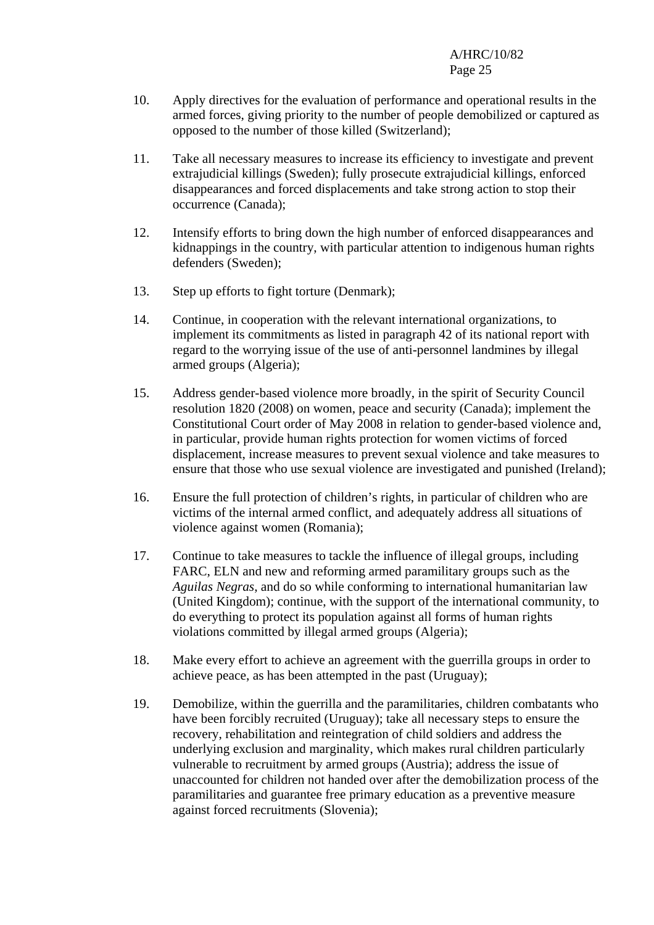- 10. Apply directives for the evaluation of performance and operational results in the armed forces, giving priority to the number of people demobilized or captured as opposed to the number of those killed (Switzerland);
- 11. Take all necessary measures to increase its efficiency to investigate and prevent extrajudicial killings (Sweden); fully prosecute extrajudicial killings, enforced disappearances and forced displacements and take strong action to stop their occurrence (Canada);
- 12. Intensify efforts to bring down the high number of enforced disappearances and kidnappings in the country, with particular attention to indigenous human rights defenders (Sweden);
- 13. Step up efforts to fight torture (Denmark);
- 14. Continue, in cooperation with the relevant international organizations, to implement its commitments as listed in paragraph 42 of its national report with regard to the worrying issue of the use of anti-personnel landmines by illegal armed groups (Algeria);
- 15. Address gender-based violence more broadly, in the spirit of Security Council resolution 1820 (2008) on women, peace and security (Canada); implement the Constitutional Court order of May 2008 in relation to gender-based violence and, in particular, provide human rights protection for women victims of forced displacement, increase measures to prevent sexual violence and take measures to ensure that those who use sexual violence are investigated and punished (Ireland);
- 16. Ensure the full protection of children's rights, in particular of children who are victims of the internal armed conflict, and adequately address all situations of violence against women (Romania);
- 17. Continue to take measures to tackle the influence of illegal groups, including FARC, ELN and new and reforming armed paramilitary groups such as the *Aguilas Negras*, and do so while conforming to international humanitarian law (United Kingdom); continue, with the support of the international community, to do everything to protect its population against all forms of human rights violations committed by illegal armed groups (Algeria);
- 18. Make every effort to achieve an agreement with the guerrilla groups in order to achieve peace, as has been attempted in the past (Uruguay);
- 19. Demobilize, within the guerrilla and the paramilitaries, children combatants who have been forcibly recruited (Uruguay); take all necessary steps to ensure the recovery, rehabilitation and reintegration of child soldiers and address the underlying exclusion and marginality, which makes rural children particularly vulnerable to recruitment by armed groups (Austria); address the issue of unaccounted for children not handed over after the demobilization process of the paramilitaries and guarantee free primary education as a preventive measure against forced recruitments (Slovenia);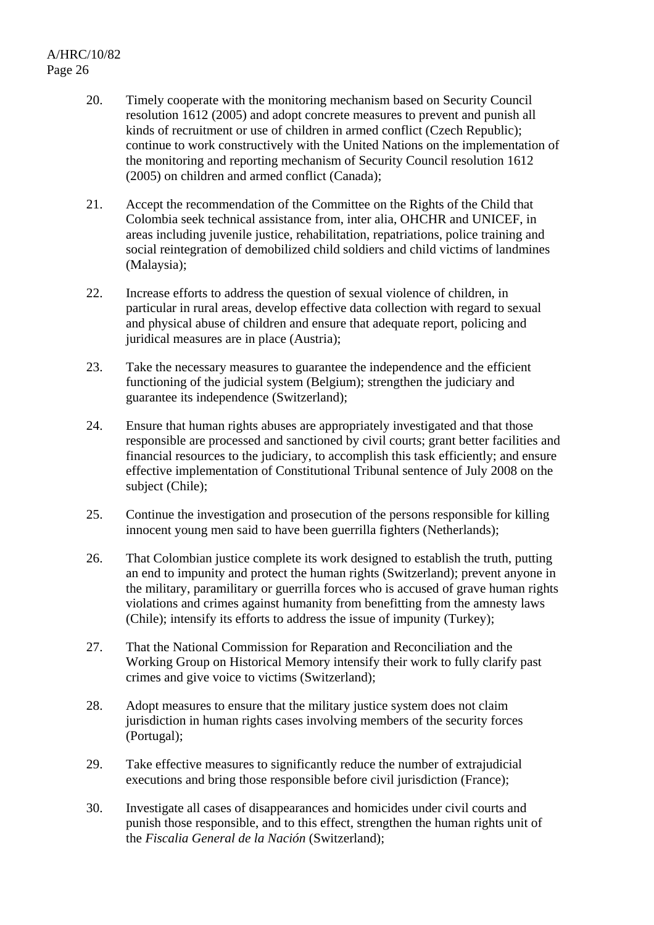- 20. Timely cooperate with the monitoring mechanism based on Security Council resolution 1612 (2005) and adopt concrete measures to prevent and punish all kinds of recruitment or use of children in armed conflict (Czech Republic); continue to work constructively with the United Nations on the implementation of the monitoring and reporting mechanism of Security Council resolution 1612 (2005) on children and armed conflict (Canada);
- 21. Accept the recommendation of the Committee on the Rights of the Child that Colombia seek technical assistance from, inter alia, OHCHR and UNICEF, in areas including juvenile justice, rehabilitation, repatriations, police training and social reintegration of demobilized child soldiers and child victims of landmines (Malaysia);
- 22. Increase efforts to address the question of sexual violence of children, in particular in rural areas, develop effective data collection with regard to sexual and physical abuse of children and ensure that adequate report, policing and juridical measures are in place (Austria);
- 23. Take the necessary measures to guarantee the independence and the efficient functioning of the judicial system (Belgium); strengthen the judiciary and guarantee its independence (Switzerland);
- 24. Ensure that human rights abuses are appropriately investigated and that those responsible are processed and sanctioned by civil courts; grant better facilities and financial resources to the judiciary, to accomplish this task efficiently; and ensure effective implementation of Constitutional Tribunal sentence of July 2008 on the subject (Chile);
- 25. Continue the investigation and prosecution of the persons responsible for killing innocent young men said to have been guerrilla fighters (Netherlands);
- 26. That Colombian justice complete its work designed to establish the truth, putting an end to impunity and protect the human rights (Switzerland); prevent anyone in the military, paramilitary or guerrilla forces who is accused of grave human rights violations and crimes against humanity from benefitting from the amnesty laws (Chile); intensify its efforts to address the issue of impunity (Turkey);
- 27. That the National Commission for Reparation and Reconciliation and the Working Group on Historical Memory intensify their work to fully clarify past crimes and give voice to victims (Switzerland);
- 28. Adopt measures to ensure that the military justice system does not claim jurisdiction in human rights cases involving members of the security forces (Portugal);
- 29. Take effective measures to significantly reduce the number of extrajudicial executions and bring those responsible before civil jurisdiction (France);
- 30. Investigate all cases of disappearances and homicides under civil courts and punish those responsible, and to this effect, strengthen the human rights unit of the *Fiscalia General de la Nación* (Switzerland);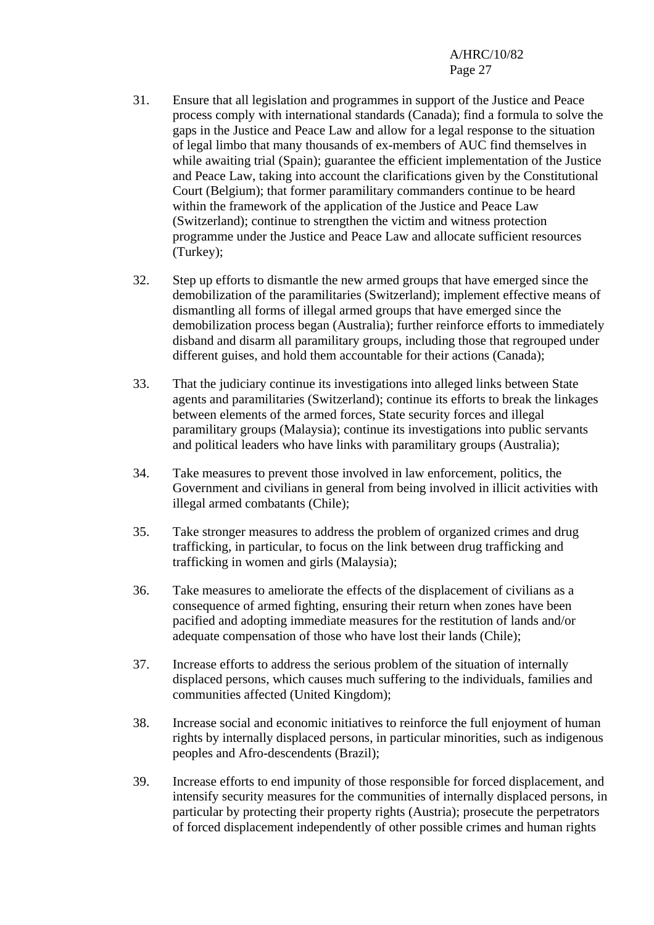- 31. Ensure that all legislation and programmes in support of the Justice and Peace process comply with international standards (Canada); find a formula to solve the gaps in the Justice and Peace Law and allow for a legal response to the situation of legal limbo that many thousands of ex-members of AUC find themselves in while awaiting trial (Spain); guarantee the efficient implementation of the Justice and Peace Law, taking into account the clarifications given by the Constitutional Court (Belgium); that former paramilitary commanders continue to be heard within the framework of the application of the Justice and Peace Law (Switzerland); continue to strengthen the victim and witness protection programme under the Justice and Peace Law and allocate sufficient resources (Turkey);
- 32. Step up efforts to dismantle the new armed groups that have emerged since the demobilization of the paramilitaries (Switzerland); implement effective means of dismantling all forms of illegal armed groups that have emerged since the demobilization process began (Australia); further reinforce efforts to immediately disband and disarm all paramilitary groups, including those that regrouped under different guises, and hold them accountable for their actions (Canada);
- 33. That the judiciary continue its investigations into alleged links between State agents and paramilitaries (Switzerland); continue its efforts to break the linkages between elements of the armed forces, State security forces and illegal paramilitary groups (Malaysia); continue its investigations into public servants and political leaders who have links with paramilitary groups (Australia);
- 34. Take measures to prevent those involved in law enforcement, politics, the Government and civilians in general from being involved in illicit activities with illegal armed combatants (Chile);
- 35. Take stronger measures to address the problem of organized crimes and drug trafficking, in particular, to focus on the link between drug trafficking and trafficking in women and girls (Malaysia);
- 36. Take measures to ameliorate the effects of the displacement of civilians as a consequence of armed fighting, ensuring their return when zones have been pacified and adopting immediate measures for the restitution of lands and/or adequate compensation of those who have lost their lands (Chile);
- 37. Increase efforts to address the serious problem of the situation of internally displaced persons, which causes much suffering to the individuals, families and communities affected (United Kingdom);
- 38. Increase social and economic initiatives to reinforce the full enjoyment of human rights by internally displaced persons, in particular minorities, such as indigenous peoples and Afro-descendents (Brazil);
- 39. Increase efforts to end impunity of those responsible for forced displacement, and intensify security measures for the communities of internally displaced persons, in particular by protecting their property rights (Austria); prosecute the perpetrators of forced displacement independently of other possible crimes and human rights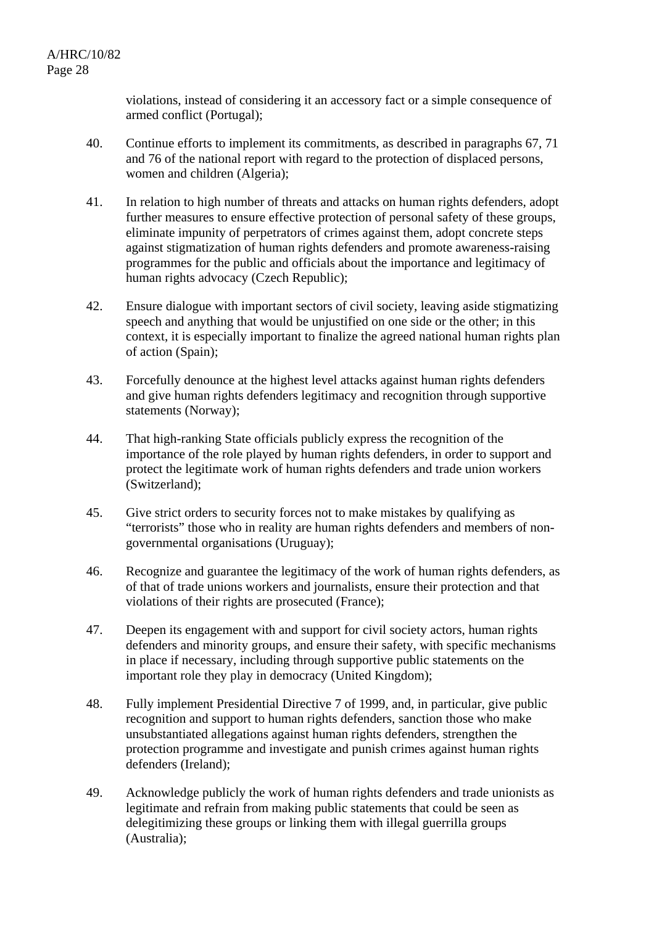violations, instead of considering it an accessory fact or a simple consequence of armed conflict (Portugal);

- 40. Continue efforts to implement its commitments, as described in paragraphs 67, 71 and 76 of the national report with regard to the protection of displaced persons, women and children (Algeria);
- 41. In relation to high number of threats and attacks on human rights defenders, adopt further measures to ensure effective protection of personal safety of these groups, eliminate impunity of perpetrators of crimes against them, adopt concrete steps against stigmatization of human rights defenders and promote awareness-raising programmes for the public and officials about the importance and legitimacy of human rights advocacy (Czech Republic);
- 42. Ensure dialogue with important sectors of civil society, leaving aside stigmatizing speech and anything that would be unjustified on one side or the other; in this context, it is especially important to finalize the agreed national human rights plan of action (Spain);
- 43. Forcefully denounce at the highest level attacks against human rights defenders and give human rights defenders legitimacy and recognition through supportive statements (Norway);
- 44. That high-ranking State officials publicly express the recognition of the importance of the role played by human rights defenders, in order to support and protect the legitimate work of human rights defenders and trade union workers (Switzerland);
- 45. Give strict orders to security forces not to make mistakes by qualifying as "terrorists" those who in reality are human rights defenders and members of nongovernmental organisations (Uruguay);
- 46. Recognize and guarantee the legitimacy of the work of human rights defenders, as of that of trade unions workers and journalists, ensure their protection and that violations of their rights are prosecuted (France);
- 47. Deepen its engagement with and support for civil society actors, human rights defenders and minority groups, and ensure their safety, with specific mechanisms in place if necessary, including through supportive public statements on the important role they play in democracy (United Kingdom);
- 48. Fully implement Presidential Directive 7 of 1999, and, in particular, give public recognition and support to human rights defenders, sanction those who make unsubstantiated allegations against human rights defenders, strengthen the protection programme and investigate and punish crimes against human rights defenders (Ireland);
- 49. Acknowledge publicly the work of human rights defenders and trade unionists as legitimate and refrain from making public statements that could be seen as delegitimizing these groups or linking them with illegal guerrilla groups (Australia);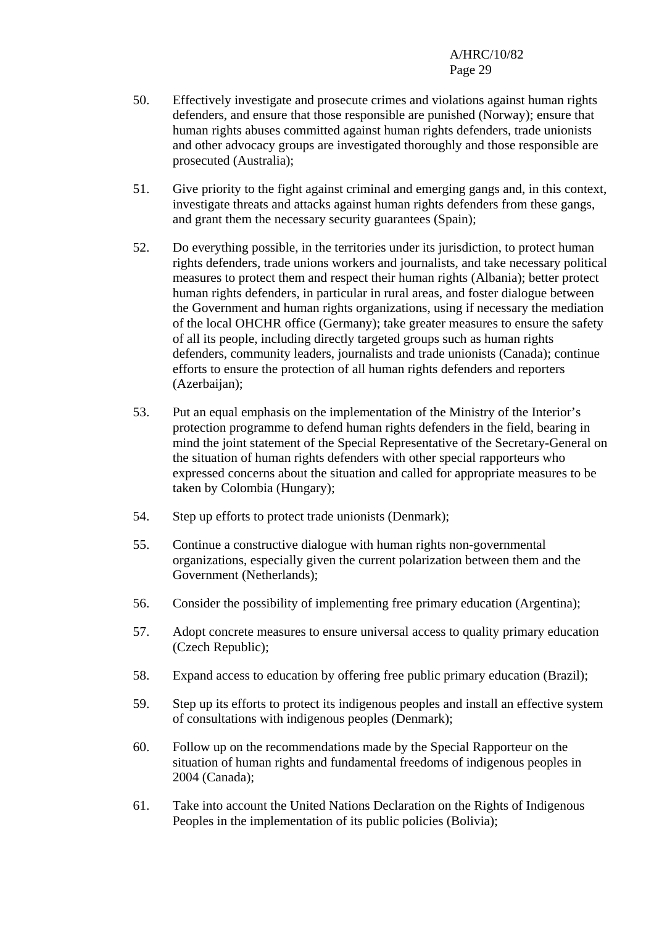- 50. Effectively investigate and prosecute crimes and violations against human rights defenders, and ensure that those responsible are punished (Norway); ensure that human rights abuses committed against human rights defenders, trade unionists and other advocacy groups are investigated thoroughly and those responsible are prosecuted (Australia);
- 51. Give priority to the fight against criminal and emerging gangs and, in this context, investigate threats and attacks against human rights defenders from these gangs, and grant them the necessary security guarantees (Spain);
- 52. Do everything possible, in the territories under its jurisdiction, to protect human rights defenders, trade unions workers and journalists, and take necessary political measures to protect them and respect their human rights (Albania); better protect human rights defenders, in particular in rural areas, and foster dialogue between the Government and human rights organizations, using if necessary the mediation of the local OHCHR office (Germany); take greater measures to ensure the safety of all its people, including directly targeted groups such as human rights defenders, community leaders, journalists and trade unionists (Canada); continue efforts to ensure the protection of all human rights defenders and reporters (Azerbaijan);
- 53. Put an equal emphasis on the implementation of the Ministry of the Interior's protection programme to defend human rights defenders in the field, bearing in mind the joint statement of the Special Representative of the Secretary-General on the situation of human rights defenders with other special rapporteurs who expressed concerns about the situation and called for appropriate measures to be taken by Colombia (Hungary);
- 54. Step up efforts to protect trade unionists (Denmark);
- 55. Continue a constructive dialogue with human rights non-governmental organizations, especially given the current polarization between them and the Government (Netherlands);
- 56. Consider the possibility of implementing free primary education (Argentina);
- 57. Adopt concrete measures to ensure universal access to quality primary education (Czech Republic);
- 58. Expand access to education by offering free public primary education (Brazil);
- 59. Step up its efforts to protect its indigenous peoples and install an effective system of consultations with indigenous peoples (Denmark);
- 60. Follow up on the recommendations made by the Special Rapporteur on the situation of human rights and fundamental freedoms of indigenous peoples in 2004 (Canada);
- 61. Take into account the United Nations Declaration on the Rights of Indigenous Peoples in the implementation of its public policies (Bolivia);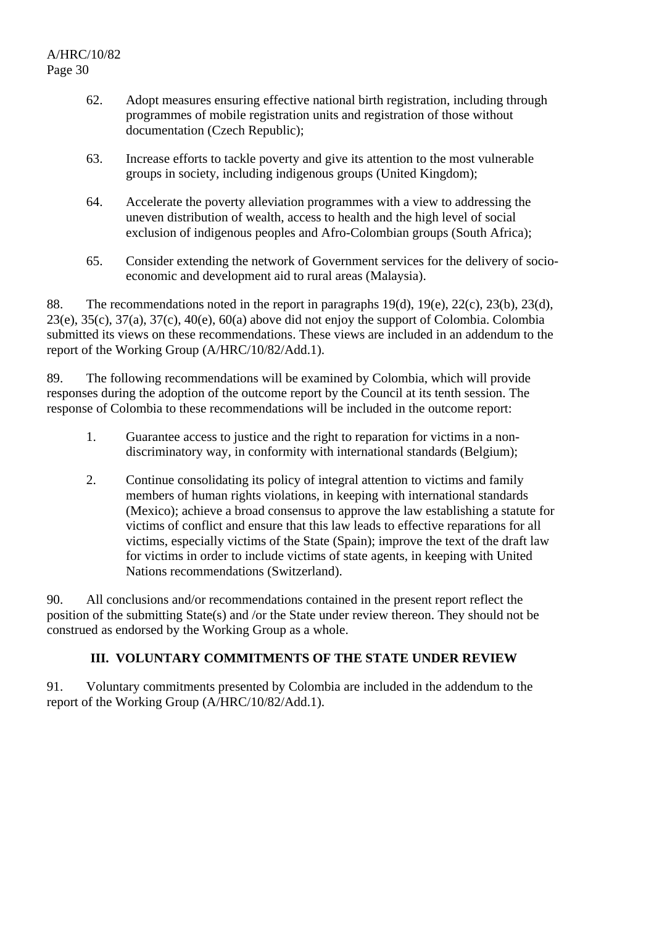- 62. Adopt measures ensuring effective national birth registration, including through programmes of mobile registration units and registration of those without documentation (Czech Republic);
- 63. Increase efforts to tackle poverty and give its attention to the most vulnerable groups in society, including indigenous groups (United Kingdom);
- 64. Accelerate the poverty alleviation programmes with a view to addressing the uneven distribution of wealth, access to health and the high level of social exclusion of indigenous peoples and Afro-Colombian groups (South Africa);
- 65. Consider extending the network of Government services for the delivery of socioeconomic and development aid to rural areas (Malaysia).

88. The recommendations noted in the report in paragraphs 19(d), 19(e), 22(c), 23(b), 23(d), 23(e), 35(c), 37(a), 37(c), 40(e), 60(a) above did not enjoy the support of Colombia. Colombia submitted its views on these recommendations. These views are included in an addendum to the report of the Working Group (A/HRC/10/82/Add.1).

89. The following recommendations will be examined by Colombia, which will provide responses during the adoption of the outcome report by the Council at its tenth session. The response of Colombia to these recommendations will be included in the outcome report:

- 1. Guarantee access to justice and the right to reparation for victims in a nondiscriminatory way, in conformity with international standards (Belgium);
- 2. Continue consolidating its policy of integral attention to victims and family members of human rights violations, in keeping with international standards (Mexico); achieve a broad consensus to approve the law establishing a statute for victims of conflict and ensure that this law leads to effective reparations for all victims, especially victims of the State (Spain); improve the text of the draft law for victims in order to include victims of state agents, in keeping with United Nations recommendations (Switzerland).

90. All conclusions and/or recommendations contained in the present report reflect the position of the submitting State(s) and /or the State under review thereon. They should not be construed as endorsed by the Working Group as a whole.

# **III. VOLUNTARY COMMITMENTS OF THE STATE UNDER REVIEW**

91. Voluntary commitments presented by Colombia are included in the addendum to the report of the Working Group (A/HRC/10/82/Add.1).